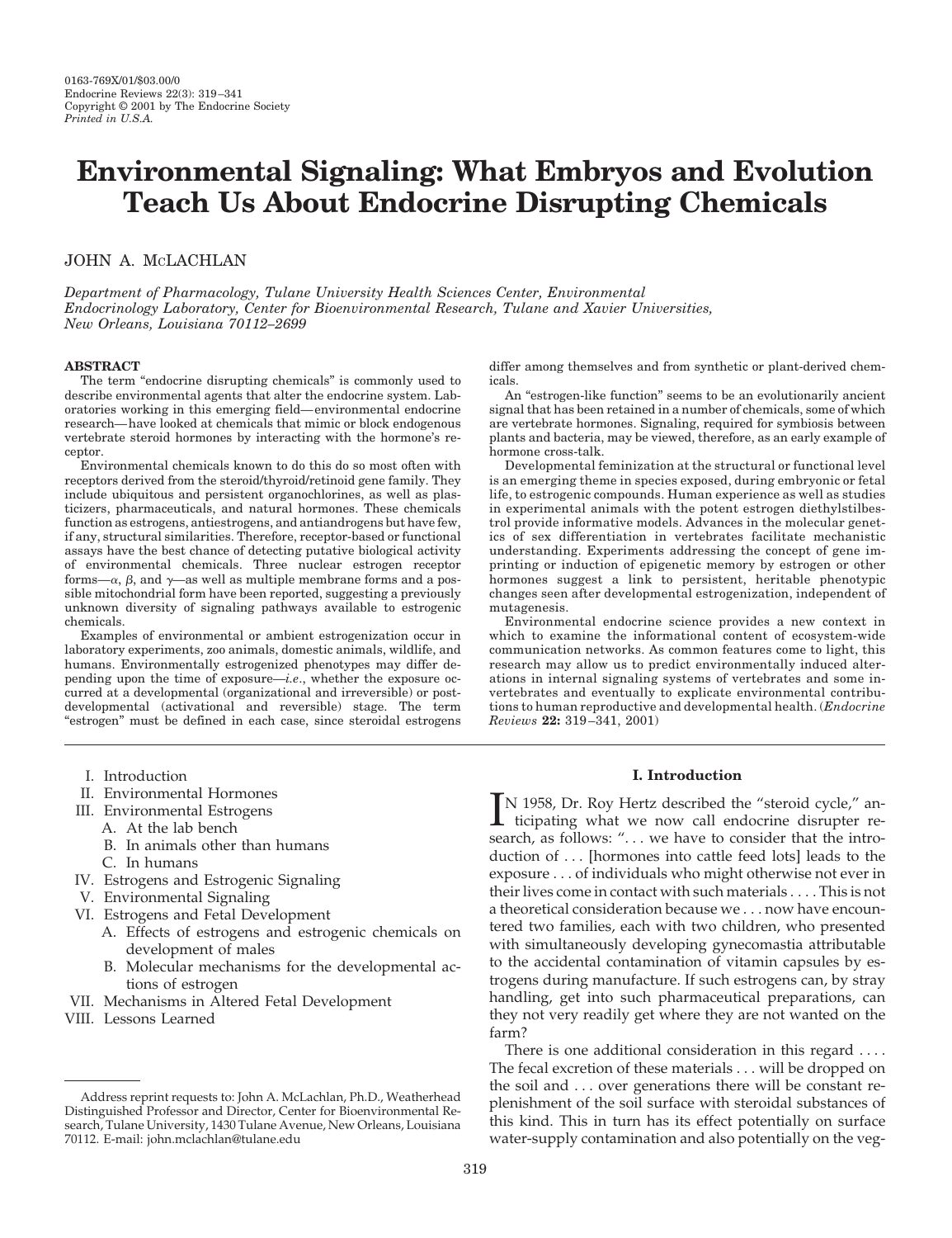# **Environmental Signaling: What Embryos and Evolution Teach Us About Endocrine Disrupting Chemicals**

## JOHN A. MCLACHLAN

*Department of Pharmacology, Tulane University Health Sciences Center, Environmental Endocrinology Laboratory, Center for Bioenvironmental Research, Tulane and Xavier Universities, New Orleans, Louisiana 70112–2699*

## **ABSTRACT**

The term "endocrine disrupting chemicals" is commonly used to describe environmental agents that alter the endocrine system. Laboratories working in this emerging field—environmental endocrine research—have looked at chemicals that mimic or block endogenous vertebrate steroid hormones by interacting with the hormone's receptor.

Environmental chemicals known to do this do so most often with receptors derived from the steroid/thyroid/retinoid gene family. They include ubiquitous and persistent organochlorines, as well as plasticizers, pharmaceuticals, and natural hormones. These chemicals function as estrogens, antiestrogens, and antiandrogens but have few, if any, structural similarities. Therefore, receptor-based or functional assays have the best chance of detecting putative biological activity of environmental chemicals. Three nuclear estrogen receptor forms— $\alpha$ ,  $\beta$ , and  $\gamma$ —as well as multiple membrane forms and a possible mitochondrial form have been reported, suggesting a previously unknown diversity of signaling pathways available to estrogenic chemicals.

Examples of environmental or ambient estrogenization occur in laboratory experiments, zoo animals, domestic animals, wildlife, and humans. Environmentally estrogenized phenotypes may differ depending upon the time of exposure—*i.e*., whether the exposure occurred at a developmental (organizational and irreversible) or postdevelopmental (activational and reversible) stage. The term "estrogen" must be defined in each case, since steroidal estrogens

- I. Introduction
- II. Environmental Hormones
- III. Environmental Estrogens
	- A. At the lab bench
	- B. In animals other than humans
	- C. In humans
- IV. Estrogens and Estrogenic Signaling
- V. Environmental Signaling
- VI. Estrogens and Fetal Development
	- A. Effects of estrogens and estrogenic chemicals on development of males
	- B. Molecular mechanisms for the developmental actions of estrogen
- VII. Mechanisms in Altered Fetal Development
- VIII. Lessons Learned

differ among themselves and from synthetic or plant-derived chemicals.

An "estrogen-like function" seems to be an evolutionarily ancient signal that has been retained in a number of chemicals, some of which are vertebrate hormones. Signaling, required for symbiosis between plants and bacteria, may be viewed, therefore, as an early example of hormone cross-talk.

Developmental feminization at the structural or functional level is an emerging theme in species exposed, during embryonic or fetal life, to estrogenic compounds. Human experience as well as studies in experimental animals with the potent estrogen diethylstilbestrol provide informative models. Advances in the molecular genetics of sex differentiation in vertebrates facilitate mechanistic understanding. Experiments addressing the concept of gene imprinting or induction of epigenetic memory by estrogen or other hormones suggest a link to persistent, heritable phenotypic changes seen after developmental estrogenization, independent of mutagenesis.

Environmental endocrine science provides a new context in which to examine the informational content of ecosystem-wide communication networks. As common features come to light, this research may allow us to predict environmentally induced alterations in internal signaling systems of vertebrates and some invertebrates and eventually to explicate environmental contributions to human reproductive and developmental health. (*Endocrine Reviews* **22:** 319 –341, 2001)

## **I. Introduction**

IN 1958, Dr. Roy Hertz described the "steroid cycle," an-<br>ticpating what we now call endocrine disrupter reticipating what we now call endocrine disrupter research, as follows: "... we have to consider that the introduction of . . . [hormones into cattle feed lots] leads to the exposure . . . of individuals who might otherwise not ever in their lives come in contact with such materials  $\dots$ . This is not a theoretical consideration because we . . . now have encountered two families, each with two children, who presented with simultaneously developing gynecomastia attributable to the accidental contamination of vitamin capsules by estrogens during manufacture. If such estrogens can, by stray handling, get into such pharmaceutical preparations, can they not very readily get where they are not wanted on the farm?

There is one additional consideration in this regard .... The fecal excretion of these materials . . . will be dropped on the soil and . . . over generations there will be constant replenishment of the soil surface with steroidal substances of this kind. This in turn has its effect potentially on surface water-supply contamination and also potentially on the veg-

Address reprint requests to: John A. McLachlan, Ph.D., Weatherhead Distinguished Professor and Director, Center for Bioenvironmental Research, Tulane University, 1430 Tulane Avenue, New Orleans, Louisiana 70112. E-mail: john.mclachlan@tulane.edu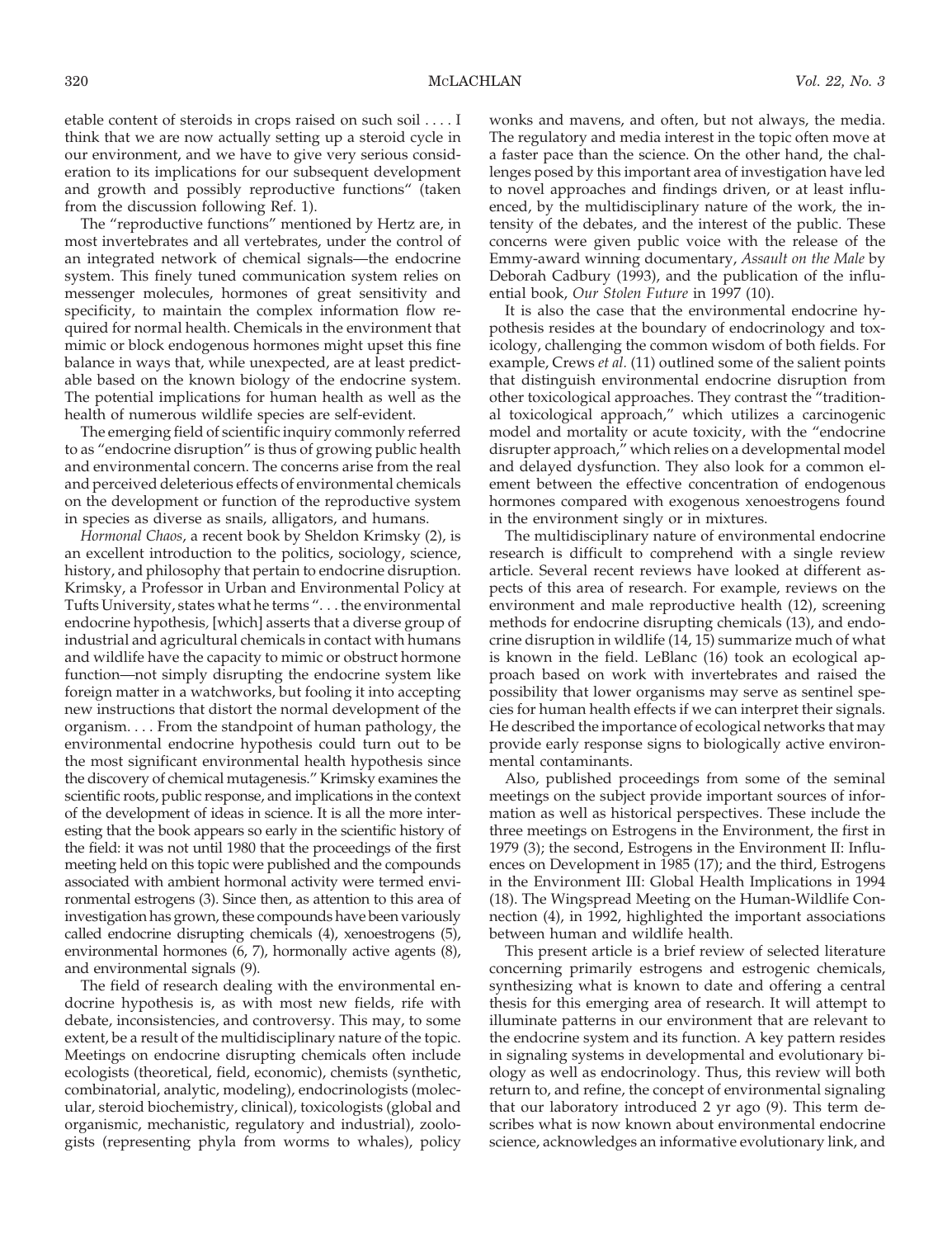etable content of steroids in crops raised on such soil . . . . I think that we are now actually setting up a steroid cycle in our environment, and we have to give very serious consideration to its implications for our subsequent development and growth and possibly reproductive functions" (taken from the discussion following Ref. 1).

The "reproductive functions" mentioned by Hertz are, in most invertebrates and all vertebrates, under the control of an integrated network of chemical signals—the endocrine system. This finely tuned communication system relies on messenger molecules, hormones of great sensitivity and specificity, to maintain the complex information flow required for normal health. Chemicals in the environment that mimic or block endogenous hormones might upset this fine balance in ways that, while unexpected, are at least predictable based on the known biology of the endocrine system. The potential implications for human health as well as the health of numerous wildlife species are self-evident.

The emerging field of scientific inquiry commonly referred to as "endocrine disruption" is thus of growing public health and environmental concern. The concerns arise from the real and perceived deleterious effects of environmental chemicals on the development or function of the reproductive system in species as diverse as snails, alligators, and humans.

*Hormonal Chaos*, a recent book by Sheldon Krimsky (2), is an excellent introduction to the politics, sociology, science, history, and philosophy that pertain to endocrine disruption. Krimsky, a Professor in Urban and Environmental Policy at Tufts University, states what he terms ". . . the environmental endocrine hypothesis*,* [which] asserts that a diverse group of industrial and agricultural chemicals in contact with humans and wildlife have the capacity to mimic or obstruct hormone function—not simply disrupting the endocrine system like foreign matter in a watchworks, but fooling it into accepting new instructions that distort the normal development of the organism. . . . From the standpoint of human pathology, the environmental endocrine hypothesis could turn out to be the most significant environmental health hypothesis since the discovery of chemical mutagenesis." Krimsky examines the scientific roots, public response, and implications in the context of the development of ideas in science. It is all the more interesting that the book appears so early in the scientific history of the field: it was not until 1980 that the proceedings of the first meeting held on this topic were published and the compounds associated with ambient hormonal activity were termed environmental estrogens (3). Since then, as attention to this area of investigation has grown, these compounds have been variously called endocrine disrupting chemicals (4), xenoestrogens (5), environmental hormones (6, 7), hormonally active agents (8), and environmental signals (9).

The field of research dealing with the environmental endocrine hypothesis is, as with most new fields, rife with debate, inconsistencies, and controversy. This may, to some extent, be a result of the multidisciplinary nature of the topic. Meetings on endocrine disrupting chemicals often include ecologists (theoretical, field, economic), chemists (synthetic, combinatorial, analytic, modeling), endocrinologists (molecular, steroid biochemistry, clinical), toxicologists (global and organismic, mechanistic, regulatory and industrial), zoologists (representing phyla from worms to whales), policy wonks and mavens, and often, but not always, the media. The regulatory and media interest in the topic often move at a faster pace than the science. On the other hand, the challenges posed by this important area of investigation have led to novel approaches and findings driven, or at least influenced, by the multidisciplinary nature of the work, the intensity of the debates, and the interest of the public. These concerns were given public voice with the release of the Emmy-award winning documentary, *Assault on the Male* by Deborah Cadbury (1993), and the publication of the influential book, *Our Stolen Future* in 1997 (10).

It is also the case that the environmental endocrine hypothesis resides at the boundary of endocrinology and toxicology, challenging the common wisdom of both fields. For example, Crews *et al.* (11) outlined some of the salient points that distinguish environmental endocrine disruption from other toxicological approaches. They contrast the "traditional toxicological approach," which utilizes a carcinogenic model and mortality or acute toxicity, with the "endocrine disrupter approach," which relies on a developmental model and delayed dysfunction. They also look for a common element between the effective concentration of endogenous hormones compared with exogenous xenoestrogens found in the environment singly or in mixtures.

The multidisciplinary nature of environmental endocrine research is difficult to comprehend with a single review article. Several recent reviews have looked at different aspects of this area of research. For example, reviews on the environment and male reproductive health (12), screening methods for endocrine disrupting chemicals (13), and endocrine disruption in wildlife (14, 15) summarize much of what is known in the field. LeBlanc (16) took an ecological approach based on work with invertebrates and raised the possibility that lower organisms may serve as sentinel species for human health effects if we can interpret their signals. He described the importance of ecological networks that may provide early response signs to biologically active environmental contaminants.

Also, published proceedings from some of the seminal meetings on the subject provide important sources of information as well as historical perspectives. These include the three meetings on Estrogens in the Environment, the first in 1979 (3); the second, Estrogens in the Environment II: Influences on Development in 1985 (17); and the third, Estrogens in the Environment III: Global Health Implications in 1994 (18). The Wingspread Meeting on the Human-Wildlife Connection (4), in 1992, highlighted the important associations between human and wildlife health.

This present article is a brief review of selected literature concerning primarily estrogens and estrogenic chemicals, synthesizing what is known to date and offering a central thesis for this emerging area of research. It will attempt to illuminate patterns in our environment that are relevant to the endocrine system and its function. A key pattern resides in signaling systems in developmental and evolutionary biology as well as endocrinology. Thus, this review will both return to, and refine, the concept of environmental signaling that our laboratory introduced 2 yr ago (9). This term describes what is now known about environmental endocrine science, acknowledges an informative evolutionary link, and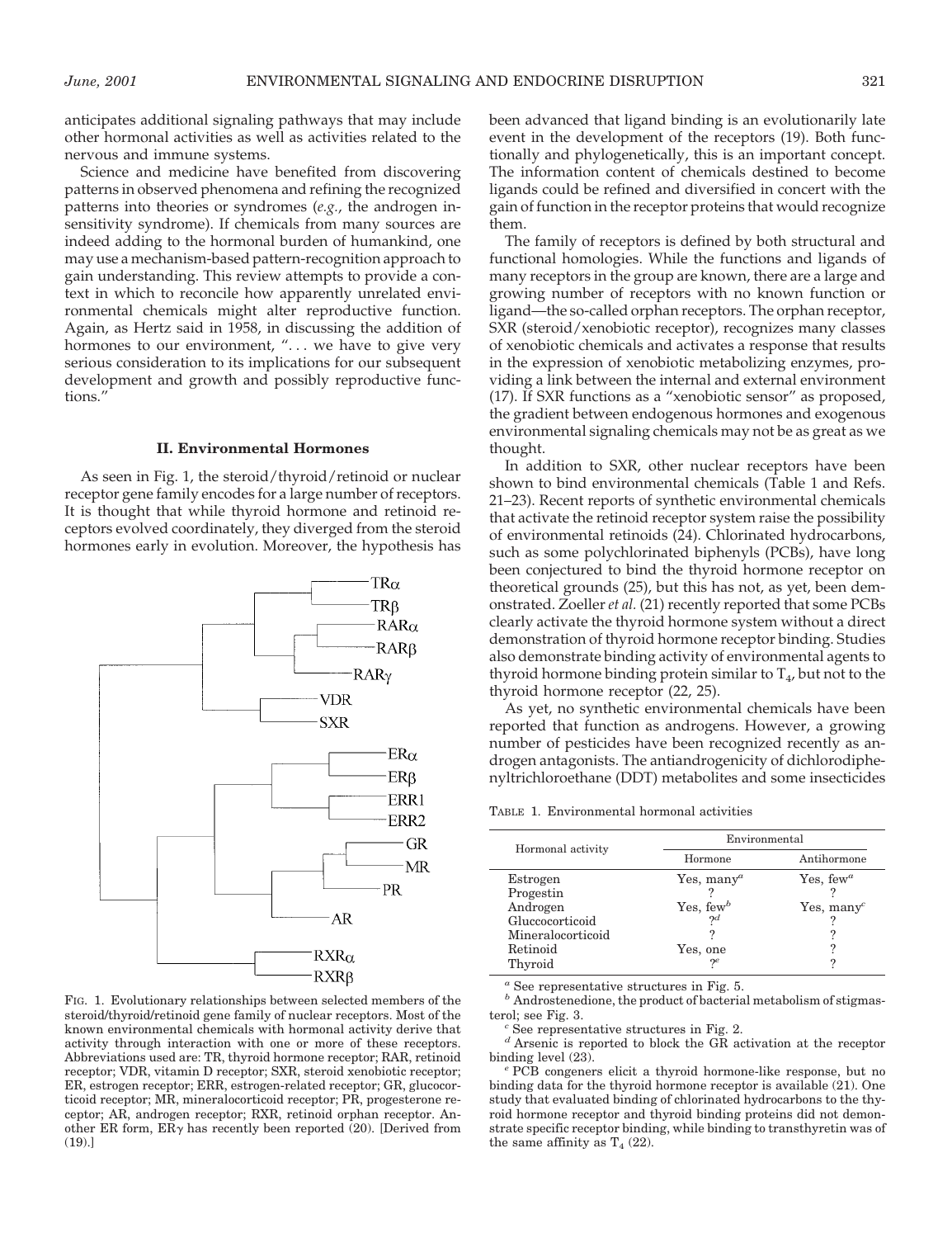anticipates additional signaling pathways that may include other hormonal activities as well as activities related to the nervous and immune systems.

Science and medicine have benefited from discovering patterns in observed phenomena and refining the recognized patterns into theories or syndromes (*e.g.*, the androgen insensitivity syndrome). If chemicals from many sources are indeed adding to the hormonal burden of humankind, one may use a mechanism-based pattern-recognition approach to gain understanding. This review attempts to provide a context in which to reconcile how apparently unrelated environmental chemicals might alter reproductive function. Again, as Hertz said in 1958, in discussing the addition of hormones to our environment, "... we have to give very serious consideration to its implications for our subsequent development and growth and possibly reproductive functions."

#### **II. Environmental Hormones**

As seen in Fig. 1, the steroid/thyroid/retinoid or nuclear receptor gene family encodes for a large number of receptors. It is thought that while thyroid hormone and retinoid receptors evolved coordinately, they diverged from the steroid hormones early in evolution. Moreover, the hypothesis has



FIG. 1. Evolutionary relationships between selected members of the steroid/thyroid/retinoid gene family of nuclear receptors. Most of the known environmental chemicals with hormonal activity derive that activity through interaction with one or more of these receptors. Abbreviations used are: TR, thyroid hormone receptor; RAR, retinoid receptor; VDR, vitamin D receptor; SXR, steroid xenobiotic receptor; ER, estrogen receptor; ERR, estrogen-related receptor; GR, glucocorticoid receptor; MR, mineralocorticoid receptor; PR, progesterone receptor; AR, androgen receptor; RXR, retinoid orphan receptor. Another ER form,  $ER\gamma$  has recently been reported (20). [Derived from (19).]

been advanced that ligand binding is an evolutionarily late event in the development of the receptors (19). Both functionally and phylogenetically, this is an important concept. The information content of chemicals destined to become ligands could be refined and diversified in concert with the gain of function in the receptor proteins that would recognize them.

The family of receptors is defined by both structural and functional homologies. While the functions and ligands of many receptors in the group are known, there are a large and growing number of receptors with no known function or ligand—the so-called orphan receptors. The orphan receptor, SXR (steroid/xenobiotic receptor), recognizes many classes of xenobiotic chemicals and activates a response that results in the expression of xenobiotic metabolizing enzymes, providing a link between the internal and external environment (17). If SXR functions as a "xenobiotic sensor" as proposed, the gradient between endogenous hormones and exogenous environmental signaling chemicals may not be as great as we thought.

In addition to SXR, other nuclear receptors have been shown to bind environmental chemicals (Table 1 and Refs. 21–23). Recent reports of synthetic environmental chemicals that activate the retinoid receptor system raise the possibility of environmental retinoids (24). Chlorinated hydrocarbons, such as some polychlorinated biphenyls (PCBs), have long been conjectured to bind the thyroid hormone receptor on theoretical grounds (25), but this has not, as yet, been demonstrated. Zoeller *et al.* (21) recently reported that some PCBs clearly activate the thyroid hormone system without a direct demonstration of thyroid hormone receptor binding. Studies also demonstrate binding activity of environmental agents to thyroid hormone binding protein similar to  $T_4$ , but not to the thyroid hormone receptor (22, 25).

As yet, no synthetic environmental chemicals have been reported that function as androgens. However, a growing number of pesticides have been recognized recently as androgen antagonists. The antiandrogenicity of dichlorodiphenyltrichloroethane (DDT) metabolites and some insecticides

TABLE 1. Environmental hormonal activities

| Hormonal activity | Environmental                       |                                     |
|-------------------|-------------------------------------|-------------------------------------|
|                   | Hormone                             | Antihormone                         |
| Estrogen          | Yes, many <sup><math>a</math></sup> | Yes, few <sup><math>a</math></sup>  |
| Progestin         |                                     |                                     |
| Androgen          | Yes, few $\delta$                   | Yes, many <sup><math>c</math></sup> |
| Gluccocorticoid   | $\gamma d$                          |                                     |
| Mineralocorticoid |                                     |                                     |
| Retinoid          | Yes, one                            |                                     |
| Thyroid           | 9e                                  |                                     |
|                   |                                     |                                     |

*<sup>a</sup>* See representative structures in Fig. 5. *<sup>b</sup>* Androstenedione, the product of bacterial metabolism of stigmas-

terol; see Fig. 3. *<sup>c</sup>* See representative structures in Fig. 2. *<sup>d</sup>* Arsenic is reported to block the GR activation at the receptor

binding level (23). *<sup>e</sup>* PCB congeners elicit <sup>a</sup> thyroid hormone-like response, but no binding data for the thyroid hormone receptor is available (21). One study that evaluated binding of chlorinated hydrocarbons to the thyroid hormone receptor and thyroid binding proteins did not demonstrate specific receptor binding, while binding to transthyretin was of the same affinity as  $T_4$  (22).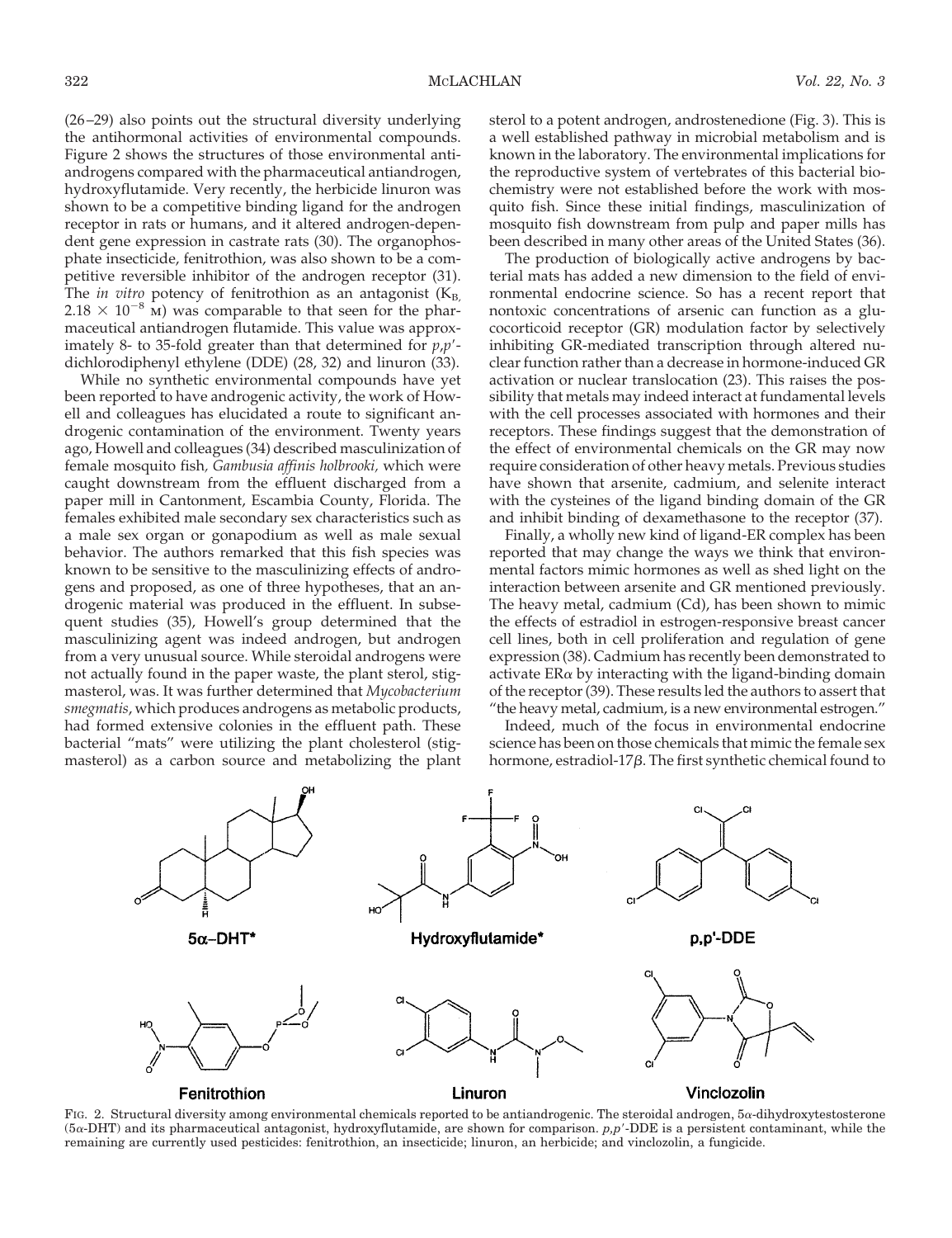(26–29) also points out the structural diversity underlying the antihormonal activities of environmental compounds. Figure 2 shows the structures of those environmental antiandrogens compared with the pharmaceutical antiandrogen, hydroxyflutamide. Very recently, the herbicide linuron was shown to be a competitive binding ligand for the androgen receptor in rats or humans, and it altered androgen-dependent gene expression in castrate rats (30). The organophosphate insecticide, fenitrothion, was also shown to be a competitive reversible inhibitor of the androgen receptor (31). The *in vitro* potency of fenitrothion as an antagonist  $(K_B)$  $2.18 \times 10^{-8}$  M) was comparable to that seen for the pharmaceutical antiandrogen flutamide. This value was approximately 8- to 35-fold greater than that determined for  $p$ , $p'$ dichlorodiphenyl ethylene (DDE) (28, 32) and linuron (33).

While no synthetic environmental compounds have yet been reported to have androgenic activity, the work of Howell and colleagues has elucidated a route to significant androgenic contamination of the environment. Twenty years ago, Howell and colleagues (34) described masculinization of female mosquito fish*, Gambusia affinis holbrooki,* which were caught downstream from the effluent discharged from a paper mill in Cantonment, Escambia County, Florida. The females exhibited male secondary sex characteristics such as a male sex organ or gonapodium as well as male sexual behavior. The authors remarked that this fish species was known to be sensitive to the masculinizing effects of androgens and proposed, as one of three hypotheses, that an androgenic material was produced in the effluent. In subsequent studies (35), Howell's group determined that the masculinizing agent was indeed androgen, but androgen from a very unusual source. While steroidal androgens were not actually found in the paper waste, the plant sterol, stigmasterol, was. It was further determined that *Mycobacterium smegmatis*, which produces androgens as metabolic products, had formed extensive colonies in the effluent path. These bacterial "mats" were utilizing the plant cholesterol (stigmasterol) as a carbon source and metabolizing the plant sterol to a potent androgen, androstenedione (Fig. 3). This is a well established pathway in microbial metabolism and is known in the laboratory. The environmental implications for the reproductive system of vertebrates of this bacterial biochemistry were not established before the work with mosquito fish. Since these initial findings, masculinization of mosquito fish downstream from pulp and paper mills has been described in many other areas of the United States (36).

The production of biologically active androgens by bacterial mats has added a new dimension to the field of environmental endocrine science. So has a recent report that nontoxic concentrations of arsenic can function as a glucocorticoid receptor (GR) modulation factor by selectively inhibiting GR-mediated transcription through altered nuclear function rather than a decrease in hormone-induced GR activation or nuclear translocation (23). This raises the possibility that metals may indeed interact at fundamental levels with the cell processes associated with hormones and their receptors. These findings suggest that the demonstration of the effect of environmental chemicals on the GR may now require consideration of other heavy metals. Previous studies have shown that arsenite, cadmium, and selenite interact with the cysteines of the ligand binding domain of the GR and inhibit binding of dexamethasone to the receptor (37).

Finally, a wholly new kind of ligand-ER complex has been reported that may change the ways we think that environmental factors mimic hormones as well as shed light on the interaction between arsenite and GR mentioned previously. The heavy metal, cadmium (Cd), has been shown to mimic the effects of estradiol in estrogen-responsive breast cancer cell lines, both in cell proliferation and regulation of gene expression (38). Cadmium has recently been demonstrated to activate  $ER\alpha$  by interacting with the ligand-binding domain of the receptor(39). These results led the authors to assert that "the heavy metal, cadmium, is a new environmental estrogen."

Indeed, much of the focus in environmental endocrine science has been on those chemicals that mimic the female sex hormone, estradiol-17 $\beta$ . The first synthetic chemical found to



FIG. 2. Structural diversity among environmental chemicals reported to be antiandrogenic. The steroidal androgen,  $5\alpha$ -dihydroxytestosterone ( $5\alpha$ -DHT) and its pharmaceutical antagonist, hydroxyflutamide, are shown for comparison.  $p, p'$ -DDE is a persistent contaminant, while the remaining are currently used pesticides: fenitrothion, an insecticide; linuron, an herbicide; and vinclozolin, a fungicide.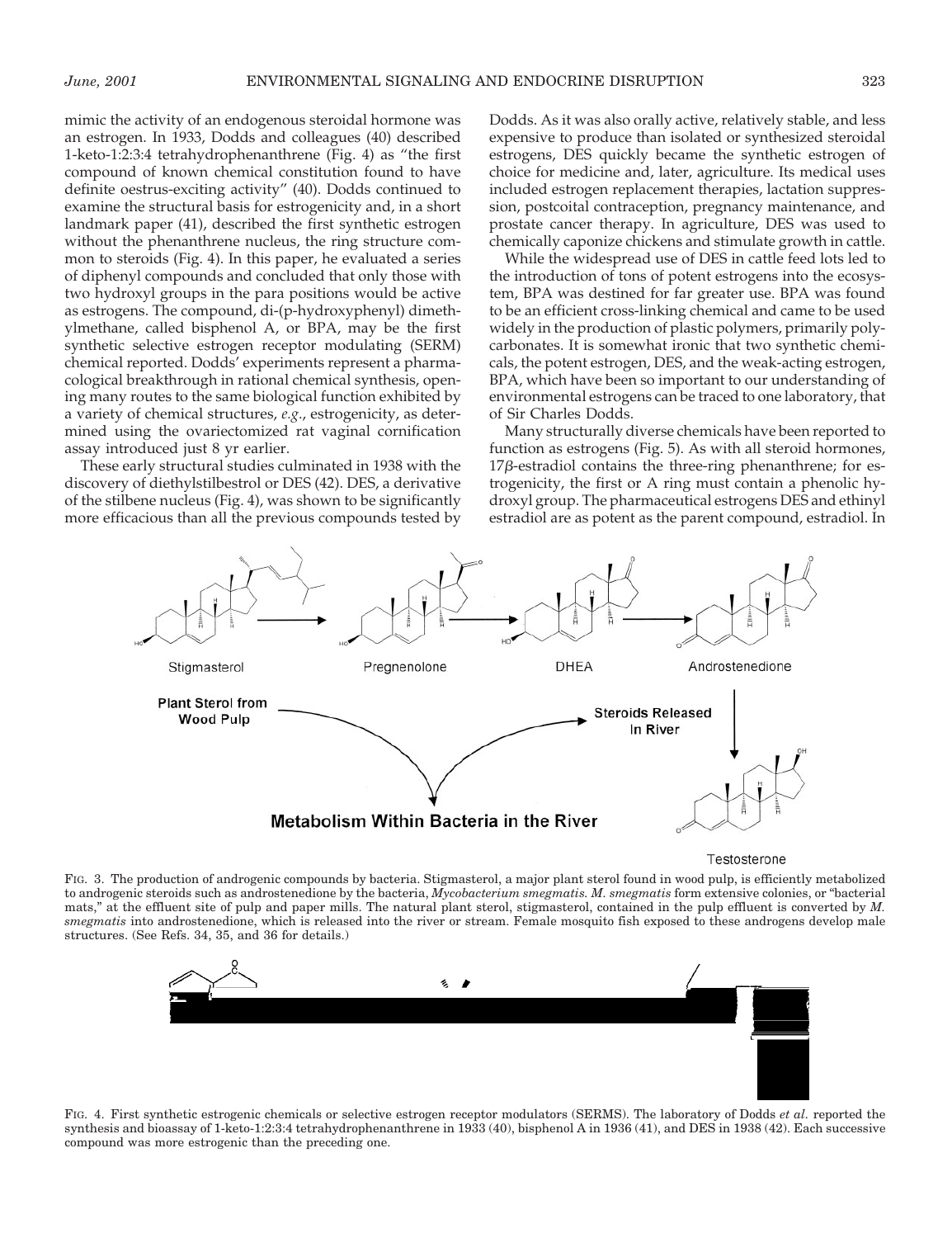mimic the activity of an endogenous steroidal hormone was an estrogen. In 1933, Dodds and colleagues (40) described 1-keto-1:2:3:4 tetrahydrophenanthrene (Fig. 4) as "the first compound of known chemical constitution found to have definite oestrus-exciting activity" (40). Dodds continued to examine the structural basis for estrogenicity and, in a short landmark paper (41), described the first synthetic estrogen without the phenanthrene nucleus, the ring structure common to steroids (Fig. 4). In this paper, he evaluated a series of diphenyl compounds and concluded that only those with two hydroxyl groups in the para positions would be active as estrogens. The compound, di-(p-hydroxyphenyl) dimethylmethane, called bisphenol A, or BPA, may be the first synthetic selective estrogen receptor modulating (SERM) chemical reported. Dodds' experiments represent a pharmacological breakthrough in rational chemical synthesis, opening many routes to the same biological function exhibited by a variety of chemical structures, *e.g*., estrogenicity, as determined using the ovariectomized rat vaginal cornification assay introduced just 8 yr earlier.

These early structural studies culminated in 1938 with the discovery of diethylstilbestrol or DES (42). DES, a derivative of the stilbene nucleus (Fig. 4), was shown to be significantly more efficacious than all the previous compounds tested by

Dodds. As it was also orally active, relatively stable, and less expensive to produce than isolated or synthesized steroidal estrogens, DES quickly became the synthetic estrogen of choice for medicine and, later, agriculture. Its medical uses included estrogen replacement therapies, lactation suppression, postcoital contraception, pregnancy maintenance, and prostate cancer therapy. In agriculture, DES was used to chemically caponize chickens and stimulate growth in cattle.

While the widespread use of DES in cattle feed lots led to the introduction of tons of potent estrogens into the ecosystem, BPA was destined for far greater use. BPA was found to be an efficient cross-linking chemical and came to be used widely in the production of plastic polymers, primarily polycarbonates. It is somewhat ironic that two synthetic chemicals, the potent estrogen, DES, and the weak-acting estrogen, BPA, which have been so important to our understanding of environmental estrogens can be traced to one laboratory, that of Sir Charles Dodds.

Many structurally diverse chemicals have been reported to function as estrogens (Fig. 5). As with all steroid hormones,  $17\beta$ -estradiol contains the three-ring phenanthrene; for estrogenicity, the first or A ring must contain a phenolic hydroxyl group. The pharmaceutical estrogens DES and ethinyl estradiol are as potent as the parent compound, estradiol. In



Testosterone

FIG. 3. The production of androgenic compounds by bacteria. Stigmasterol, a major plant sterol found in wood pulp, is efficiently metabolized to androgenic steroids such as androstenedione by the bacteria, *Mycobacterium smegmatis. M. smegmatis* form extensive colonies, or "bacterial mats," at the effluent site of pulp and paper mills. The natural plant sterol, stigmasterol, contained in the pulp effluent is converted by *M. smegmatis* into androstenedione, which is released into the river or stream. Female mosquito fish exposed to these androgens develop male structures. (See Refs. 34, 35, and 36 for details.)



FIG. 4. First synthetic estrogenic chemicals or selective estrogen receptor modulators (SERMS). The laboratory of Dodds *et al.* reported the synthesis and bioassay of 1-keto-1:2:3:4 tetrahydrophenanthrene in 1933 (40), bisphenol A in 1936 (41), and DES in 1938 (42). Each successive compound was more estrogenic than the preceding one.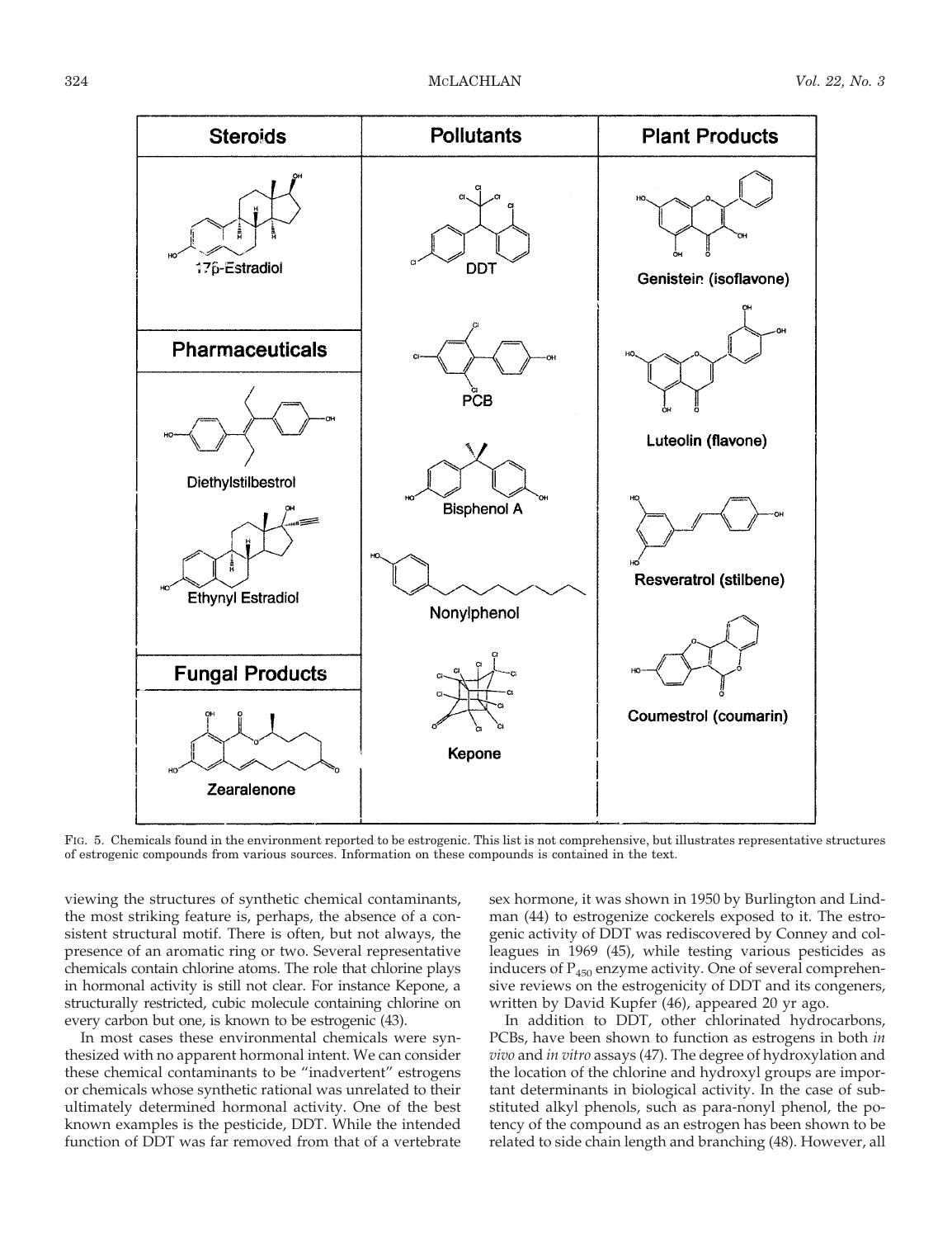

FIG. 5. Chemicals found in the environment reported to be estrogenic. This list is not comprehensive, but illustrates representative structures of estrogenic compounds from various sources. Information on these compounds is contained in the text.

viewing the structures of synthetic chemical contaminants, the most striking feature is, perhaps, the absence of a consistent structural motif. There is often, but not always, the presence of an aromatic ring or two. Several representative chemicals contain chlorine atoms. The role that chlorine plays in hormonal activity is still not clear. For instance Kepone, a structurally restricted, cubic molecule containing chlorine on every carbon but one, is known to be estrogenic (43).

In most cases these environmental chemicals were synthesized with no apparent hormonal intent. We can consider these chemical contaminants to be "inadvertent" estrogens or chemicals whose synthetic rational was unrelated to their ultimately determined hormonal activity. One of the best known examples is the pesticide, DDT. While the intended function of DDT was far removed from that of a vertebrate sex hormone, it was shown in 1950 by Burlington and Lindman (44) to estrogenize cockerels exposed to it. The estrogenic activity of DDT was rediscovered by Conney and colleagues in 1969 (45), while testing various pesticides as inducers of  $P_{450}$  enzyme activity. One of several comprehensive reviews on the estrogenicity of DDT and its congeners, written by David Kupfer (46), appeared 20 yr ago.

In addition to DDT, other chlorinated hydrocarbons, PCBs, have been shown to function as estrogens in both *in vivo* and *in vitro* assays (47). The degree of hydroxylation and the location of the chlorine and hydroxyl groups are important determinants in biological activity. In the case of substituted alkyl phenols, such as para-nonyl phenol, the potency of the compound as an estrogen has been shown to be related to side chain length and branching (48). However, all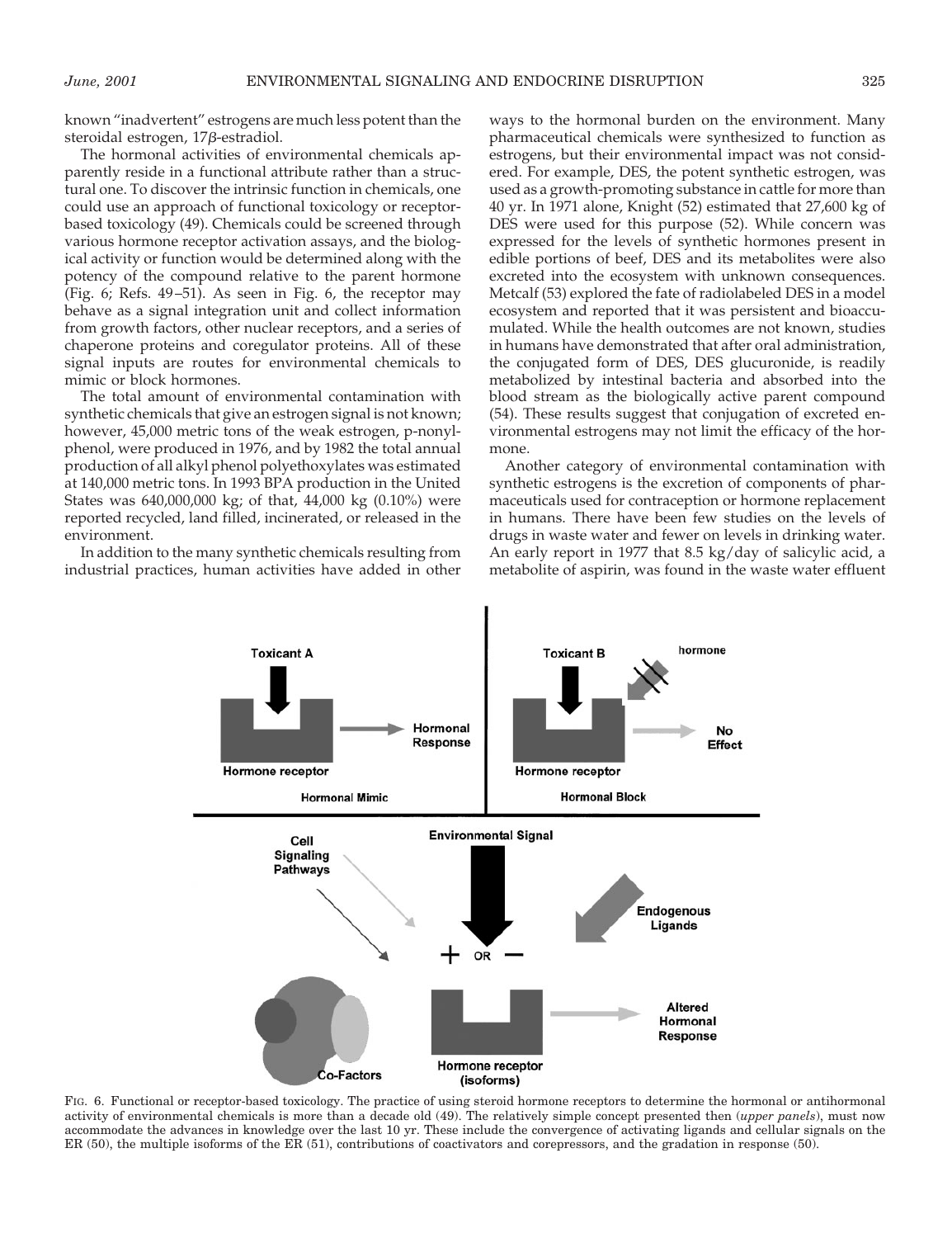known "inadvertent" estrogens are much less potent than the steroidal estrogen,  $17\beta$ -estradiol.

The hormonal activities of environmental chemicals apparently reside in a functional attribute rather than a structural one. To discover the intrinsic function in chemicals, one could use an approach of functional toxicology or receptorbased toxicology (49). Chemicals could be screened through various hormone receptor activation assays, and the biological activity or function would be determined along with the potency of the compound relative to the parent hormone (Fig. 6; Refs. 49–51). As seen in Fig. 6, the receptor may behave as a signal integration unit and collect information from growth factors, other nuclear receptors, and a series of chaperone proteins and coregulator proteins. All of these signal inputs are routes for environmental chemicals to mimic or block hormones.

The total amount of environmental contamination with synthetic chemicals that give an estrogen signal is not known; however, 45,000 metric tons of the weak estrogen, p-nonylphenol, were produced in 1976, and by 1982 the total annual production of all alkyl phenol polyethoxylates was estimated at 140,000 metric tons. In 1993 BPA production in the United States was 640,000,000 kg; of that, 44,000 kg (0.10%) were reported recycled, land filled, incinerated, or released in the environment.

In addition to the many synthetic chemicals resulting from industrial practices, human activities have added in other

ways to the hormonal burden on the environment. Many pharmaceutical chemicals were synthesized to function as estrogens, but their environmental impact was not considered. For example, DES, the potent synthetic estrogen, was used as a growth-promoting substance in cattle for more than 40 yr. In 1971 alone, Knight (52) estimated that 27,600 kg of DES were used for this purpose (52). While concern was expressed for the levels of synthetic hormones present in edible portions of beef, DES and its metabolites were also excreted into the ecosystem with unknown consequences. Metcalf (53) explored the fate of radiolabeled DES in a model ecosystem and reported that it was persistent and bioaccumulated. While the health outcomes are not known, studies in humans have demonstrated that after oral administration, the conjugated form of DES, DES glucuronide, is readily metabolized by intestinal bacteria and absorbed into the blood stream as the biologically active parent compound (54). These results suggest that conjugation of excreted environmental estrogens may not limit the efficacy of the hormone.

Another category of environmental contamination with synthetic estrogens is the excretion of components of pharmaceuticals used for contraception or hormone replacement in humans. There have been few studies on the levels of drugs in waste water and fewer on levels in drinking water. An early report in 1977 that 8.5 kg/day of salicylic acid, a metabolite of aspirin, was found in the waste water effluent



FIG. 6. Functional or receptor-based toxicology. The practice of using steroid hormone receptors to determine the hormonal or antihormonal activity of environmental chemicals is more than a decade old (49). The relatively simple concept presented then (*upper panels*), must now accommodate the advances in knowledge over the last 10 yr. These include the convergence of activating ligands and cellular signals on the ER (50), the multiple isoforms of the ER (51), contributions of coactivators and corepressors, and the gradation in response (50).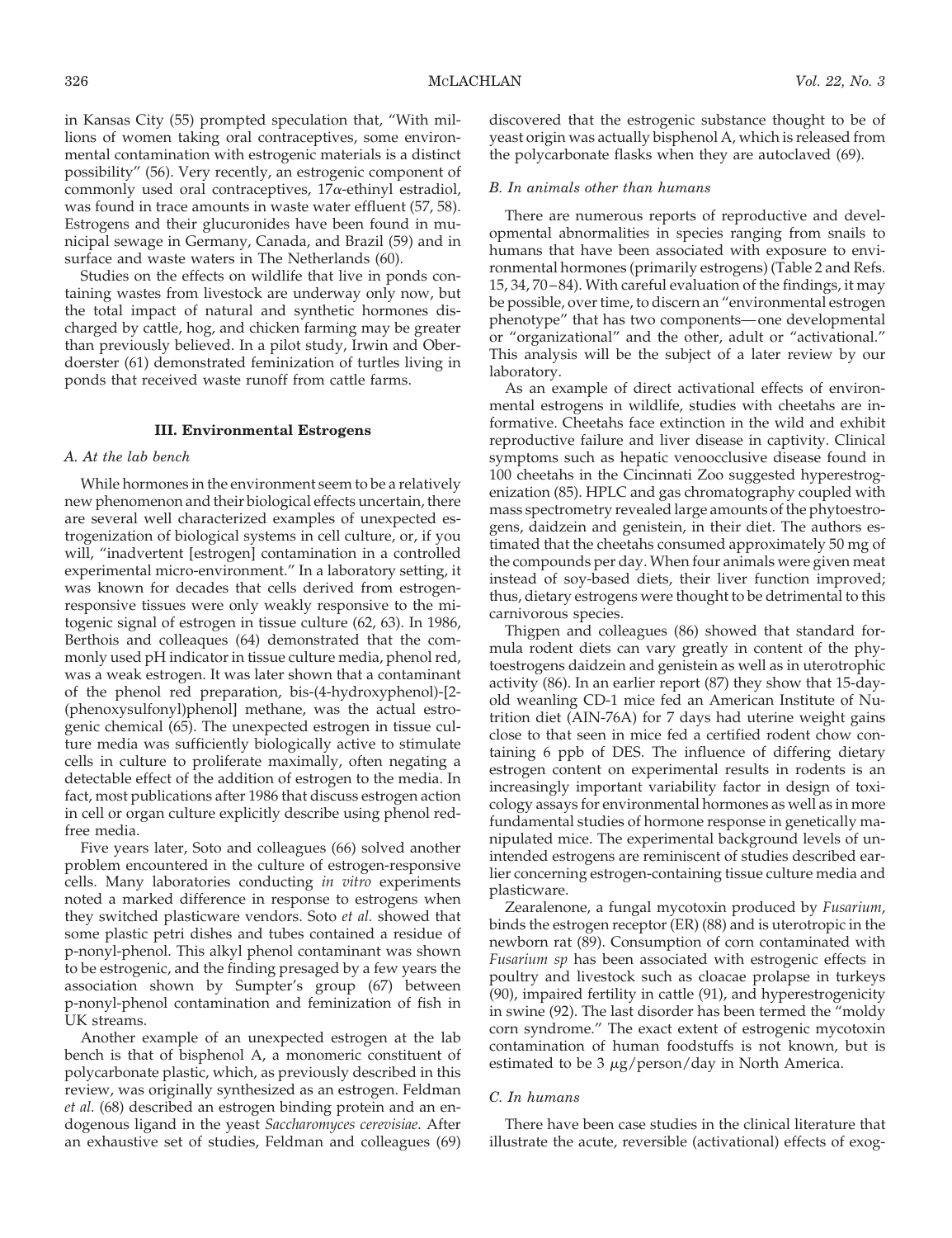in Kansas City (55) prompted speculation that, "With millions of women taking oral contraceptives, some environmental contamination with estrogenic materials is a distinct possibility" (56). Very recently, an estrogenic component of commonly used oral contraceptives,  $17\alpha$ -ethinyl estradiol, was found in trace amounts in waste water effluent (57, 58). Estrogens and their glucuronides have been found in municipal sewage in Germany, Canada, and Brazil (59) and in surface and waste waters in The Netherlands (60).

Studies on the effects on wildlife that live in ponds containing wastes from livestock are underway only now, but the total impact of natural and synthetic hormones discharged by cattle, hog, and chicken farming may be greater than previously believed. In a pilot study, Irwin and Oberdoerster (61) demonstrated feminization of turtles living in ponds that received waste runoff from cattle farms.

#### **III. Environmental Estrogens**

## *A. At the lab bench*

While hormones in the environment seem to be a relatively new phenomenon and their biological effects uncertain, there are several well characterized examples of unexpected estrogenization of biological systems in cell culture, or, if you will, "inadvertent [estrogen] contamination in a controlled experimental micro-environment." In a laboratory setting, it was known for decades that cells derived from estrogenresponsive tissues were only weakly responsive to the mitogenic signal of estrogen in tissue culture (62, 63). In 1986, Berthois and colleaques (64) demonstrated that the commonly used pH indicator in tissue culture media, phenol red, was a weak estrogen. It was later shown that a contaminant of the phenol red preparation, bis-(4-hydroxyphenol)-[2- (phenoxysulfonyl)phenol] methane, was the actual estrogenic chemical (65). The unexpected estrogen in tissue culture media was sufficiently biologically active to stimulate cells in culture to proliferate maximally, often negating a detectable effect of the addition of estrogen to the media. In fact, most publications after 1986 that discuss estrogen action in cell or organ culture explicitly describe using phenol redfree media.

Five years later, Soto and colleagues (66) solved another problem encountered in the culture of estrogen-responsive cells. Many laboratories conducting *in vitro* experiments noted a marked difference in response to estrogens when they switched plasticware vendors. Soto *et al.* showed that some plastic petri dishes and tubes contained a residue of p-nonyl-phenol. This alkyl phenol contaminant was shown to be estrogenic, and the finding presaged by a few years the association shown by Sumpter's group (67) between p-nonyl-phenol contamination and feminization of fish in UK streams.

Another example of an unexpected estrogen at the lab bench is that of bisphenol A, a monomeric constituent of polycarbonate plastic, which, as previously described in this review, was originally synthesized as an estrogen. Feldman *et al.* (68) described an estrogen binding protein and an endogenous ligand in the yeast *Saccharomyces cerevisiae*. After an exhaustive set of studies, Feldman and colleagues (69)

discovered that the estrogenic substance thought to be of yeast origin was actually bisphenol A, which is released from the polycarbonate flasks when they are autoclaved (69).

## *B. In animals other than humans*

There are numerous reports of reproductive and developmental abnormalities in species ranging from snails to humans that have been associated with exposure to environmental hormones (primarily estrogens) (Table 2 and Refs. 15, 34, 70–84). With careful evaluation of the findings, it may be possible, over time, to discern an "environmental estrogen phenotype" that has two components—one developmental or "organizational" and the other, adult or "activational." This analysis will be the subject of a later review by our laboratory.

As an example of direct activational effects of environmental estrogens in wildlife, studies with cheetahs are informative. Cheetahs face extinction in the wild and exhibit reproductive failure and liver disease in captivity. Clinical symptoms such as hepatic venoocclusive disease found in 100 cheetahs in the Cincinnati Zoo suggested hyperestrogenization (85). HPLC and gas chromatography coupled with mass spectrometry revealed large amounts of the phytoestrogens, daidzein and genistein, in their diet. The authors estimated that the cheetahs consumed approximately 50 mg of the compounds per day. When four animals were given meat instead of soy-based diets, their liver function improved; thus, dietary estrogens were thought to be detrimental to this carnivorous species.

Thigpen and colleagues (86) showed that standard formula rodent diets can vary greatly in content of the phytoestrogens daidzein and genistein as well as in uterotrophic activity (86). In an earlier report (87) they show that 15-dayold weanling CD-1 mice fed an American Institute of Nutrition diet (AIN-76A) for 7 days had uterine weight gains close to that seen in mice fed a certified rodent chow containing 6 ppb of DES. The influence of differing dietary estrogen content on experimental results in rodents is an increasingly important variability factor in design of toxicology assays for environmental hormones as well as in more fundamental studies of hormone response in genetically manipulated mice. The experimental background levels of unintended estrogens are reminiscent of studies described earlier concerning estrogen-containing tissue culture media and plasticware.

Zearalenone, a fungal mycotoxin produced by *Fusarium*, binds the estrogen receptor (ER) (88) and is uterotropic in the newborn rat (89). Consumption of corn contaminated with *Fusarium sp* has been associated with estrogenic effects in poultry and livestock such as cloacae prolapse in turkeys (90), impaired fertility in cattle (91), and hyperestrogenicity in swine (92). The last disorder has been termed the "moldy corn syndrome." The exact extent of estrogenic mycotoxin contamination of human foodstuffs is not known, but is estimated to be  $3 \mu g / \text{person/day}$  in North America.

#### *C. In humans*

There have been case studies in the clinical literature that illustrate the acute, reversible (activational) effects of exog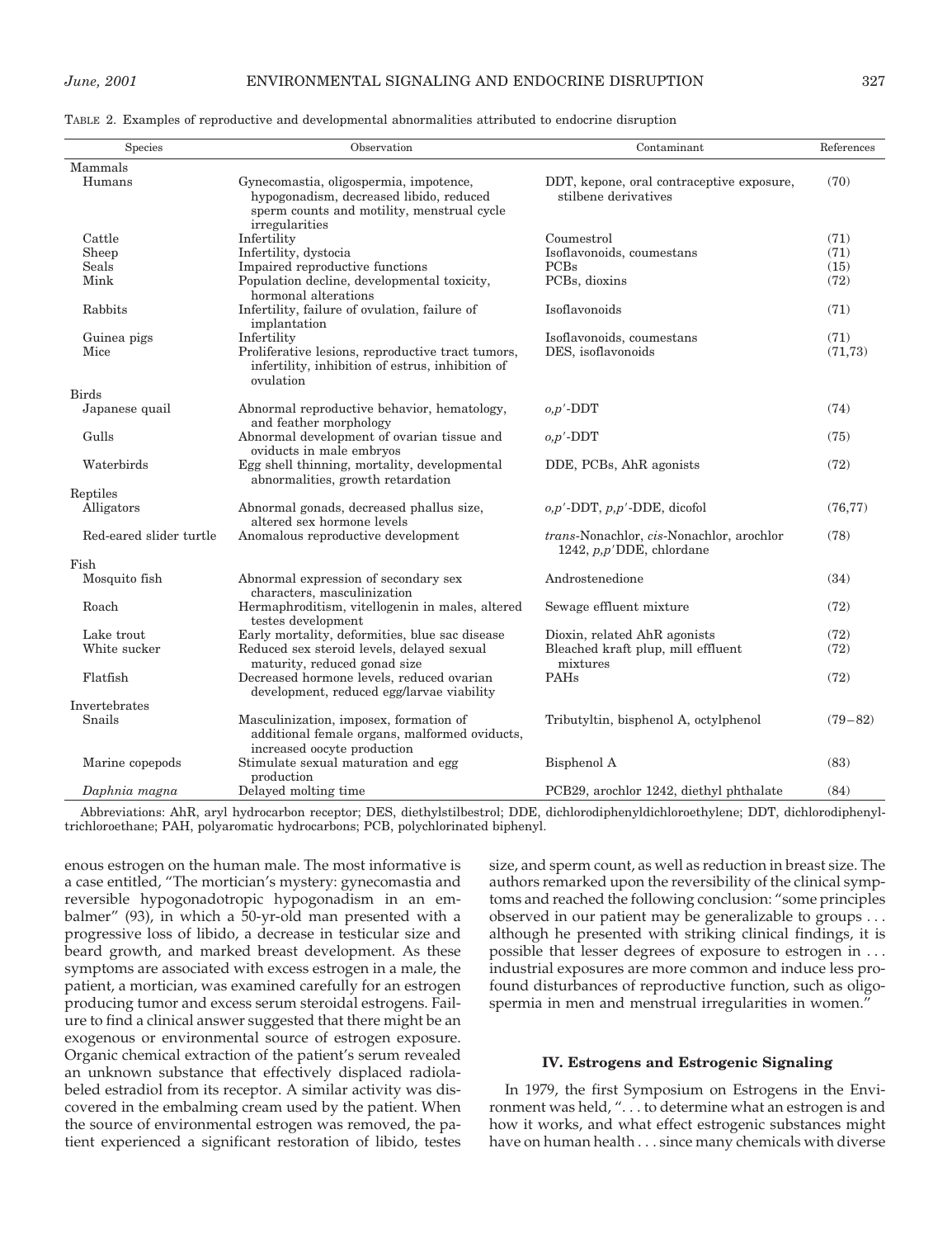TABLE 2. Examples of reproductive and developmental abnormalities attributed to endocrine disruption

| Species                 | Observation                                                                                                                                       | Contaminant                                                              | References  |
|-------------------------|---------------------------------------------------------------------------------------------------------------------------------------------------|--------------------------------------------------------------------------|-------------|
| Mammals                 |                                                                                                                                                   |                                                                          |             |
| Humans                  | Gynecomastia, oligospermia, impotence,<br>hypogonadism, decreased libido, reduced<br>sperm counts and motility, menstrual cycle<br>irregularities | DDT, kepone, oral contraceptive exposure,<br>stilbene derivatives        | (70)        |
| Cattle                  | Infertility                                                                                                                                       | Coumestrol                                                               | (71)        |
| Sheep                   | Infertility, dystocia                                                                                                                             | Isoflavonoids, coumestans                                                | (71)        |
| Seals                   | Impaired reproductive functions                                                                                                                   | <b>PCBs</b>                                                              | (15)        |
| Mink                    | Population decline, developmental toxicity,<br>hormonal alterations                                                                               | PCBs, dioxins                                                            | (72)        |
| Rabbits                 | Infertility, failure of ovulation, failure of<br>implantation                                                                                     | Isoflavonoids                                                            | (71)        |
| Guinea pigs             | Infertility                                                                                                                                       | Isoflavonoids, coumestans                                                | (71)        |
| Mice                    | Proliferative lesions, reproductive tract tumors,<br>infertility, inhibition of estrus, inhibition of<br>ovulation                                | DES, isoflavonoids                                                       | (71, 73)    |
| <b>Birds</b>            |                                                                                                                                                   |                                                                          |             |
| Japanese quail          | Abnormal reproductive behavior, hematology,<br>and feather morphology                                                                             | $o, p'$ -DDT                                                             | (74)        |
| Gulls                   | Abnormal development of ovarian tissue and<br>oviducts in male embryos                                                                            | $o, p'$ -DDT                                                             | (75)        |
| Waterbirds              | Egg shell thinning, mortality, developmental<br>abnormalities, growth retardation                                                                 | DDE, PCBs, AhR agonists                                                  | (72)        |
| Reptiles                |                                                                                                                                                   |                                                                          |             |
| Alligators              | Abnormal gonads, decreased phallus size,<br>altered sex hormone levels                                                                            | $o, p'$ -DDT, $p, p'$ -DDE, dicofol                                      | (76, 77)    |
| Red-eared slider turtle | Anomalous reproductive development                                                                                                                | trans-Nonachlor, cis-Nonachlor, arochlor<br>1242, $p, p$ 'DDE, chlordane | (78)        |
| Fish                    |                                                                                                                                                   |                                                                          |             |
| Mosquito fish           | Abnormal expression of secondary sex<br>characters, masculinization                                                                               | Androstenedione                                                          | (34)        |
| Roach                   | Hermaphroditism, vitellogenin in males, altered<br>testes development                                                                             | Sewage effluent mixture                                                  | (72)        |
| Lake trout              | Early mortality, deformities, blue sac disease                                                                                                    | Dioxin, related AhR agonists                                             | (72)        |
| White sucker            | Reduced sex steroid levels, delayed sexual                                                                                                        | Bleached kraft plup, mill effluent                                       | (72)        |
|                         | maturity, reduced gonad size                                                                                                                      | mixtures                                                                 |             |
| Flatfish                | Decreased hormone levels, reduced ovarian<br>development, reduced egg/larvae viability                                                            | PAHs                                                                     | (72)        |
| Invertebrates           |                                                                                                                                                   |                                                                          |             |
| Snails                  | Masculinization, imposex, formation of<br>additional female organs, malformed oviducts,<br>increased oocyte production                            | Tributyltin, bisphenol A, octylphenol                                    | $(79 - 82)$ |
| Marine copepods         | Stimulate sexual maturation and egg<br>production                                                                                                 | Bisphenol A                                                              | (83)        |
| Daphnia magna           | Delayed molting time                                                                                                                              | PCB29, arochlor 1242, diethyl phthalate                                  | (84)        |

Abbreviations: AhR, aryl hydrocarbon receptor; DES, diethylstilbestrol; DDE, dichlorodiphenyldichloroethylene; DDT, dichlorodiphenyltrichloroethane; PAH, polyaromatic hydrocarbons; PCB, polychlorinated biphenyl.

enous estrogen on the human male. The most informative is a case entitled, "The mortician's mystery: gynecomastia and reversible hypogonadotropic hypogonadism in an embalmer" (93), in which a 50-yr-old man presented with a progressive loss of libido, a decrease in testicular size and beard growth, and marked breast development. As these symptoms are associated with excess estrogen in a male, the patient, a mortician, was examined carefully for an estrogen producing tumor and excess serum steroidal estrogens. Failure to find a clinical answer suggested that there might be an exogenous or environmental source of estrogen exposure. Organic chemical extraction of the patient's serum revealed an unknown substance that effectively displaced radiolabeled estradiol from its receptor. A similar activity was discovered in the embalming cream used by the patient. When the source of environmental estrogen was removed, the patient experienced a significant restoration of libido, testes

size, and sperm count, as well as reduction in breast size. The authors remarked upon the reversibility of the clinical symptoms and reached the following conclusion: "some principles observed in our patient may be generalizable to groups . . . although he presented with striking clinical findings, it is possible that lesser degrees of exposure to estrogen in . . . industrial exposures are more common and induce less profound disturbances of reproductive function, such as oligospermia in men and menstrual irregularities in women."

## **IV. Estrogens and Estrogenic Signaling**

In 1979, the first Symposium on Estrogens in the Environment was held, ". . . to determine what an estrogen is and how it works, and what effect estrogenic substances might have on human health . . . since many chemicals with diverse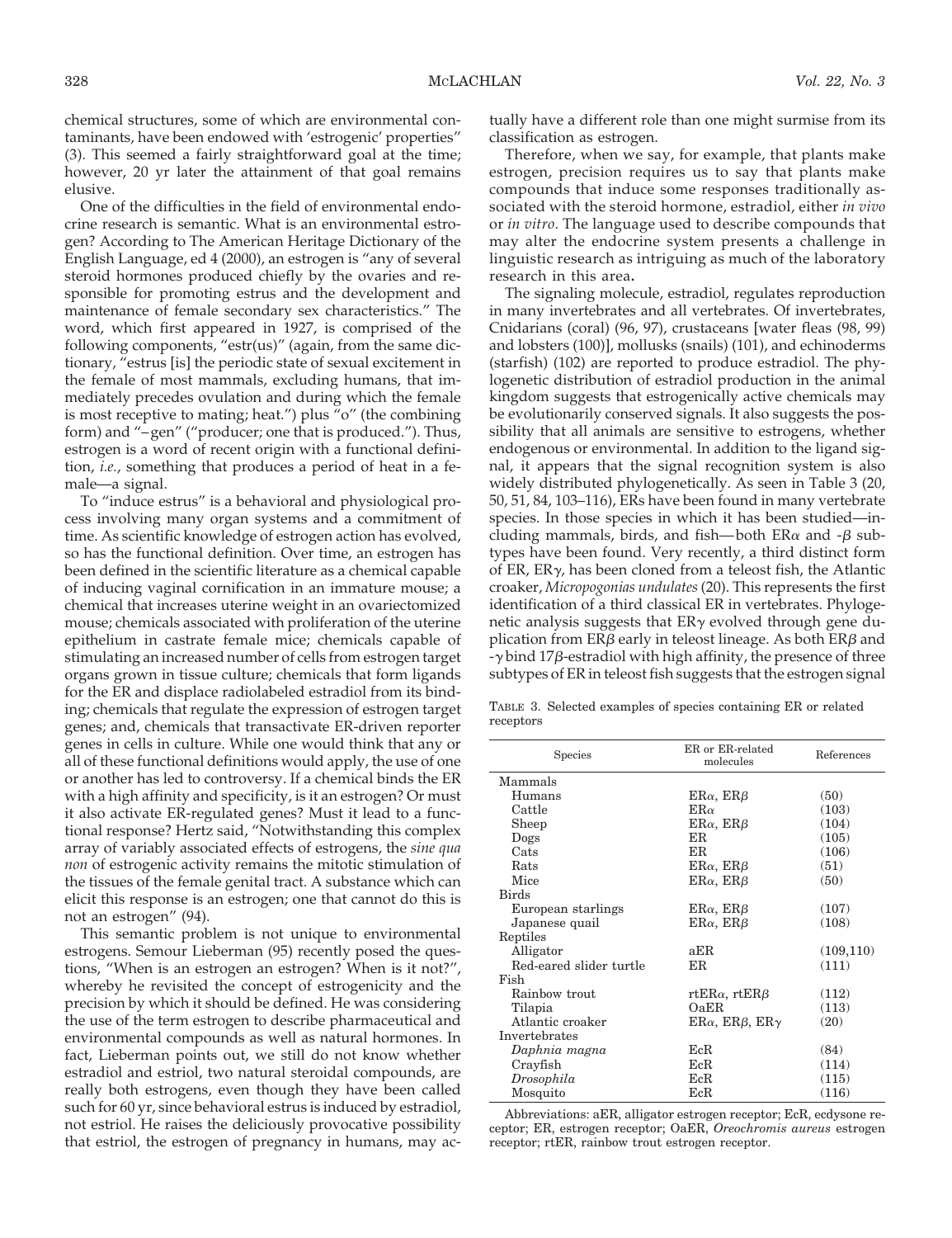chemical structures, some of which are environmental contaminants, have been endowed with 'estrogenic' properties" (3). This seemed a fairly straightforward goal at the time; however, 20 yr later the attainment of that goal remains elusive.

One of the difficulties in the field of environmental endocrine research is semantic. What is an environmental estrogen? According to The American Heritage Dictionary of the English Language, ed 4 (2000), an estrogen is "any of several steroid hormones produced chiefly by the ovaries and responsible for promoting estrus and the development and maintenance of female secondary sex characteristics." The word, which first appeared in 1927, is comprised of the following components, "estr(us)" (again, from the same dictionary, "estrus [is] the periodic state of sexual excitement in the female of most mammals, excluding humans, that immediately precedes ovulation and during which the female is most receptive to mating; heat.") plus "o" (the combining form) and "–gen" ("producer; one that is produced."). Thus, estrogen is a word of recent origin with a functional definition, *i.e.*, something that produces a period of heat in a female—a signal.

To "induce estrus" is a behavioral and physiological process involving many organ systems and a commitment of time. As scientific knowledge of estrogen action has evolved, so has the functional definition. Over time, an estrogen has been defined in the scientific literature as a chemical capable of inducing vaginal cornification in an immature mouse; a chemical that increases uterine weight in an ovariectomized mouse; chemicals associated with proliferation of the uterine epithelium in castrate female mice; chemicals capable of stimulating an increased number of cells from estrogen target organs grown in tissue culture; chemicals that form ligands for the ER and displace radiolabeled estradiol from its binding; chemicals that regulate the expression of estrogen target genes; and, chemicals that transactivate ER-driven reporter genes in cells in culture. While one would think that any or all of these functional definitions would apply, the use of one or another has led to controversy. If a chemical binds the ER with a high affinity and specificity, is it an estrogen? Or must it also activate ER-regulated genes? Must it lead to a functional response? Hertz said, "Notwithstanding this complex array of variably associated effects of estrogens, the *sine qua non* of estrogenic activity remains the mitotic stimulation of the tissues of the female genital tract. A substance which can elicit this response is an estrogen; one that cannot do this is not an estrogen" (94).

This semantic problem is not unique to environmental estrogens. Semour Lieberman (95) recently posed the questions, "When is an estrogen an estrogen? When is it not?", whereby he revisited the concept of estrogenicity and the precision by which it should be defined. He was considering the use of the term estrogen to describe pharmaceutical and environmental compounds as well as natural hormones. In fact, Lieberman points out, we still do not know whether estradiol and estriol, two natural steroidal compounds, are really both estrogens, even though they have been called such for 60 yr, since behavioral estrus is induced by estradiol, not estriol. He raises the deliciously provocative possibility that estriol, the estrogen of pregnancy in humans, may actually have a different role than one might surmise from its classification as estrogen.

Therefore, when we say, for example, that plants make estrogen, precision requires us to say that plants make compounds that induce some responses traditionally associated with the steroid hormone, estradiol, either *in vivo* or *in vitro*. The language used to describe compounds that may alter the endocrine system presents a challenge in linguistic research as intriguing as much of the laboratory research in this area**.**

The signaling molecule, estradiol, regulates reproduction in many invertebrates and all vertebrates. Of invertebrates, Cnidarians (coral) (96, 97), crustaceans [water fleas (98, 99) and lobsters (100)], mollusks (snails) (101), and echinoderms (starfish) (102) are reported to produce estradiol. The phylogenetic distribution of estradiol production in the animal kingdom suggests that estrogenically active chemicals may be evolutionarily conserved signals. It also suggests the possibility that all animals are sensitive to estrogens, whether endogenous or environmental. In addition to the ligand signal, it appears that the signal recognition system is also widely distributed phylogenetically. As seen in Table 3 (20, 50, 51, 84, 103–116), ERs have been found in many vertebrate species. In those species in which it has been studied—including mammals, birds, and fish—both  $ER\alpha$  and - $\beta$  subtypes have been found. Very recently, a third distinct form of ER,  $ER_{\gamma}$ , has been cloned from a teleost fish, the Atlantic croaker, *Micropogonias undulates* (20). This represents the first identification of a third classical ER in vertebrates. Phylogenetic analysis suggests that  $ER\gamma$  evolved through gene duplication from ER $\beta$  early in teleost lineage. As both ER $\beta$  and  $-\gamma$  bind 17 $\beta$ -estradiol with high affinity, the presence of three subtypes of ER in teleost fish suggests that the estrogen signal

TABLE 3. Selected examples of species containing ER or related receptors

| Species                 | ER or ER-related<br>molecules       | References |
|-------------------------|-------------------------------------|------------|
| Mammals                 |                                     |            |
| Humans                  | $ER\alpha$ , $ER\beta$              | (50)       |
| Cattle                  | $ER\alpha$                          | (103)      |
| Sheep                   | $ER\alpha$ , $ER\beta$              | (104)      |
| $_{\rm{Dogs}}$          | $_{\rm ER}$                         | (105)      |
| Cats                    | $_{\rm ER}$                         | (106)      |
| Rats                    | $ER\alpha$ , $ER\beta$              | (51)       |
| Mice                    | $ER\alpha$ , $ER\beta$              | (50)       |
| <b>Birds</b>            |                                     |            |
| European starlings      | $ER\alpha$ , $ER\beta$              | (107)      |
| Japanese quail          | $ER\alpha$ , $ER\beta$              | (108)      |
| Reptiles                |                                     |            |
| Alligator               | aER                                 | (109, 110) |
| Red-eared slider turtle | $_{\rm ER}$                         | (111)      |
| Fish                    |                                     |            |
| Rainbow trout           | rt $ER\alpha$ , rt $ER\beta$        | (112)      |
| Tilapia                 | OaER                                | (113)      |
| Atlantic croaker        | $ER\alpha$ , $ER\beta$ , $ER\gamma$ | (20)       |
| Invertebrates           |                                     |            |
| Daphnia magna           | EcR                                 | (84)       |
| Crayfish                | EcR                                 | (114)      |
| Drosophila              | EcR                                 | (115)      |
| Mosquito                | EcR                                 | (116)      |

Abbreviations: aER, alligator estrogen receptor; EcR, ecdysone receptor; ER, estrogen receptor; OaER, *Oreochromis aureus* estrogen receptor; rtER, rainbow trout estrogen receptor.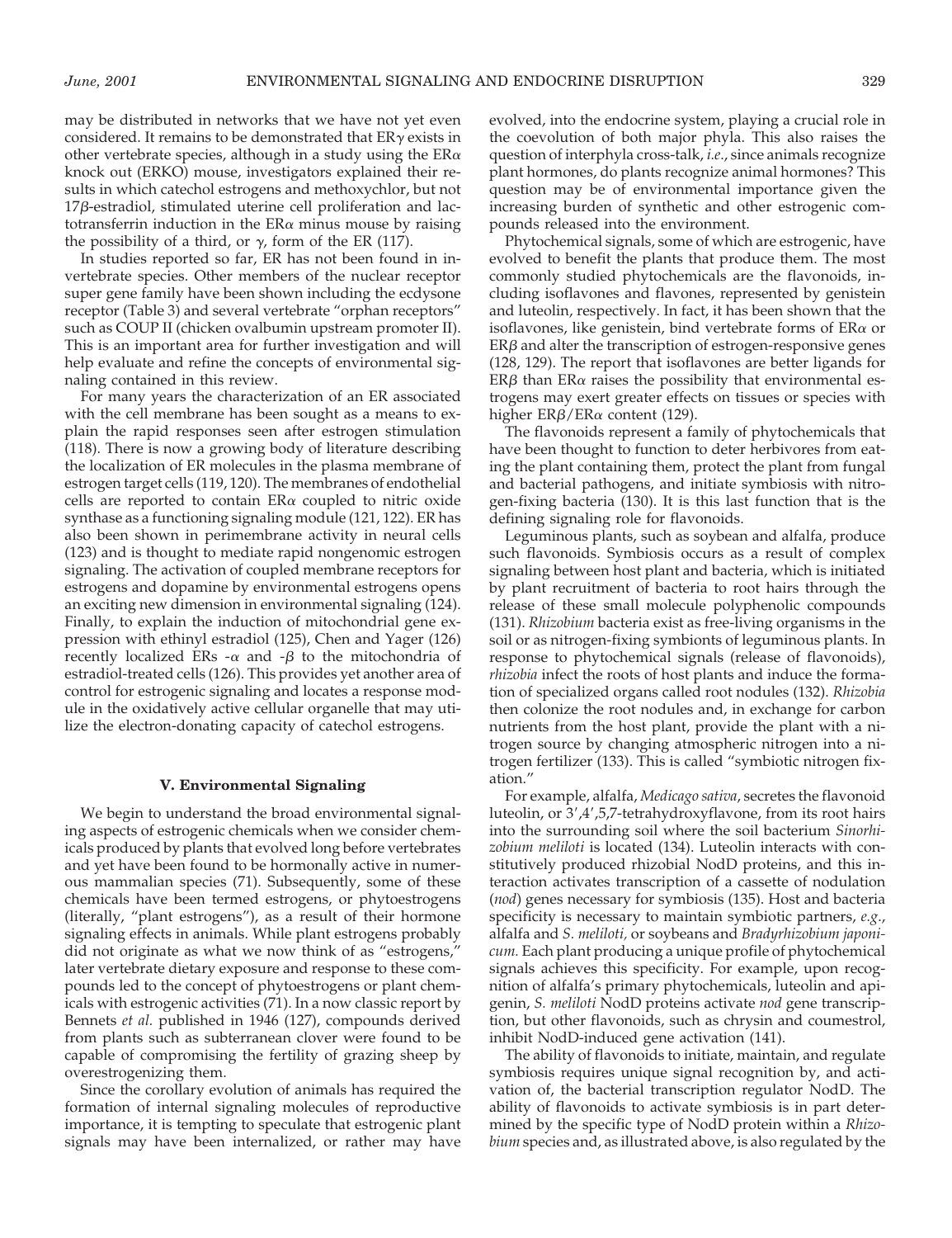may be distributed in networks that we have not yet even considered. It remains to be demonstrated that  $ER\gamma$  exists in other vertebrate species, although in a study using the  $ER\alpha$ knock out (ERKO) mouse, investigators explained their results in which catechol estrogens and methoxychlor, but not  $17\beta$ -estradiol, stimulated uterine cell proliferation and lactotransferrin induction in the  $ER\alpha$  minus mouse by raising the possibility of a third, or  $\gamma$ , form of the ER (117).

In studies reported so far, ER has not been found in invertebrate species. Other members of the nuclear receptor super gene family have been shown including the ecdysone receptor (Table 3) and several vertebrate "orphan receptors" such as COUP II (chicken ovalbumin upstream promoter II). This is an important area for further investigation and will help evaluate and refine the concepts of environmental signaling contained in this review.

For many years the characterization of an ER associated with the cell membrane has been sought as a means to explain the rapid responses seen after estrogen stimulation (118). There is now a growing body of literature describing the localization of ER molecules in the plasma membrane of estrogen target cells (119, 120). The membranes of endothelial cells are reported to contain  $ER\alpha$  coupled to nitric oxide synthase as a functioning signaling module (121, 122). ER has also been shown in perimembrane activity in neural cells (123) and is thought to mediate rapid nongenomic estrogen signaling. The activation of coupled membrane receptors for estrogens and dopamine by environmental estrogens opens an exciting new dimension in environmental signaling (124). Finally, to explain the induction of mitochondrial gene expression with ethinyl estradiol (125), Chen and Yager (126) recently localized ERs - $\alpha$  and - $\beta$  to the mitochondria of estradiol-treated cells (126). This provides yet another area of control for estrogenic signaling and locates a response module in the oxidatively active cellular organelle that may utilize the electron-donating capacity of catechol estrogens.

## **V. Environmental Signaling**

We begin to understand the broad environmental signaling aspects of estrogenic chemicals when we consider chemicals produced by plants that evolved long before vertebrates and yet have been found to be hormonally active in numerous mammalian species (71). Subsequently, some of these chemicals have been termed estrogens, or phytoestrogens (literally, "plant estrogens"), as a result of their hormone signaling effects in animals. While plant estrogens probably did not originate as what we now think of as "estrogens," later vertebrate dietary exposure and response to these compounds led to the concept of phytoestrogens or plant chemicals with estrogenic activities (71). In a now classic report by Bennets *et al.* published in 1946 (127), compounds derived from plants such as subterranean clover were found to be capable of compromising the fertility of grazing sheep by overestrogenizing them.

Since the corollary evolution of animals has required the formation of internal signaling molecules of reproductive importance, it is tempting to speculate that estrogenic plant signals may have been internalized, or rather may have

evolved, into the endocrine system, playing a crucial role in the coevolution of both major phyla. This also raises the question of interphyla cross-talk, *i.e*., since animals recognize plant hormones, do plants recognize animal hormones? This question may be of environmental importance given the increasing burden of synthetic and other estrogenic compounds released into the environment.

Phytochemical signals, some of which are estrogenic, have evolved to benefit the plants that produce them. The most commonly studied phytochemicals are the flavonoids, including isoflavones and flavones, represented by genistein and luteolin, respectively. In fact, it has been shown that the isoflavones, like genistein, bind vertebrate forms of  $ER\alpha$  or  $ER\beta$  and alter the transcription of estrogen-responsive genes (128, 129). The report that isoflavones are better ligands for  $ER\beta$  than  $ER\alpha$  raises the possibility that environmental estrogens may exert greater effects on tissues or species with higher  $ER\beta/ER\alpha$  content (129).

The flavonoids represent a family of phytochemicals that have been thought to function to deter herbivores from eating the plant containing them, protect the plant from fungal and bacterial pathogens, and initiate symbiosis with nitrogen-fixing bacteria (130). It is this last function that is the defining signaling role for flavonoids.

Leguminous plants, such as soybean and alfalfa, produce such flavonoids. Symbiosis occurs as a result of complex signaling between host plant and bacteria, which is initiated by plant recruitment of bacteria to root hairs through the release of these small molecule polyphenolic compounds (131). *Rhizobium* bacteria exist as free-living organisms in the soil or as nitrogen-fixing symbionts of leguminous plants. In response to phytochemical signals (release of flavonoids), *rhizobia* infect the roots of host plants and induce the formation of specialized organs called root nodules (132). *Rhizobia* then colonize the root nodules and, in exchange for carbon nutrients from the host plant, provide the plant with a nitrogen source by changing atmospheric nitrogen into a nitrogen fertilizer (133). This is called "symbiotic nitrogen fixation."

For example, alfalfa, *Medicago sativa*, secretes the flavonoid luteolin, or 3',4',5,7-tetrahydroxyflavone, from its root hairs into the surrounding soil where the soil bacterium *Sinorhizobium meliloti* is located (134). Luteolin interacts with constitutively produced rhizobial NodD proteins, and this interaction activates transcription of a cassette of nodulation (*nod*) genes necessary for symbiosis (135). Host and bacteria specificity is necessary to maintain symbiotic partners, *e.g*., alfalfa and *S. meliloti,* or soybeans and *Bradyrhizobium japonicum.* Each plant producing a unique profile of phytochemical signals achieves this specificity. For example, upon recognition of alfalfa's primary phytochemicals, luteolin and apigenin, *S. meliloti* NodD proteins activate *nod* gene transcription, but other flavonoids, such as chrysin and coumestrol, inhibit NodD-induced gene activation (141).

The ability of flavonoids to initiate, maintain, and regulate symbiosis requires unique signal recognition by, and activation of, the bacterial transcription regulator NodD. The ability of flavonoids to activate symbiosis is in part determined by the specific type of NodD protein within a *Rhizobium* species and, as illustrated above, is also regulated by the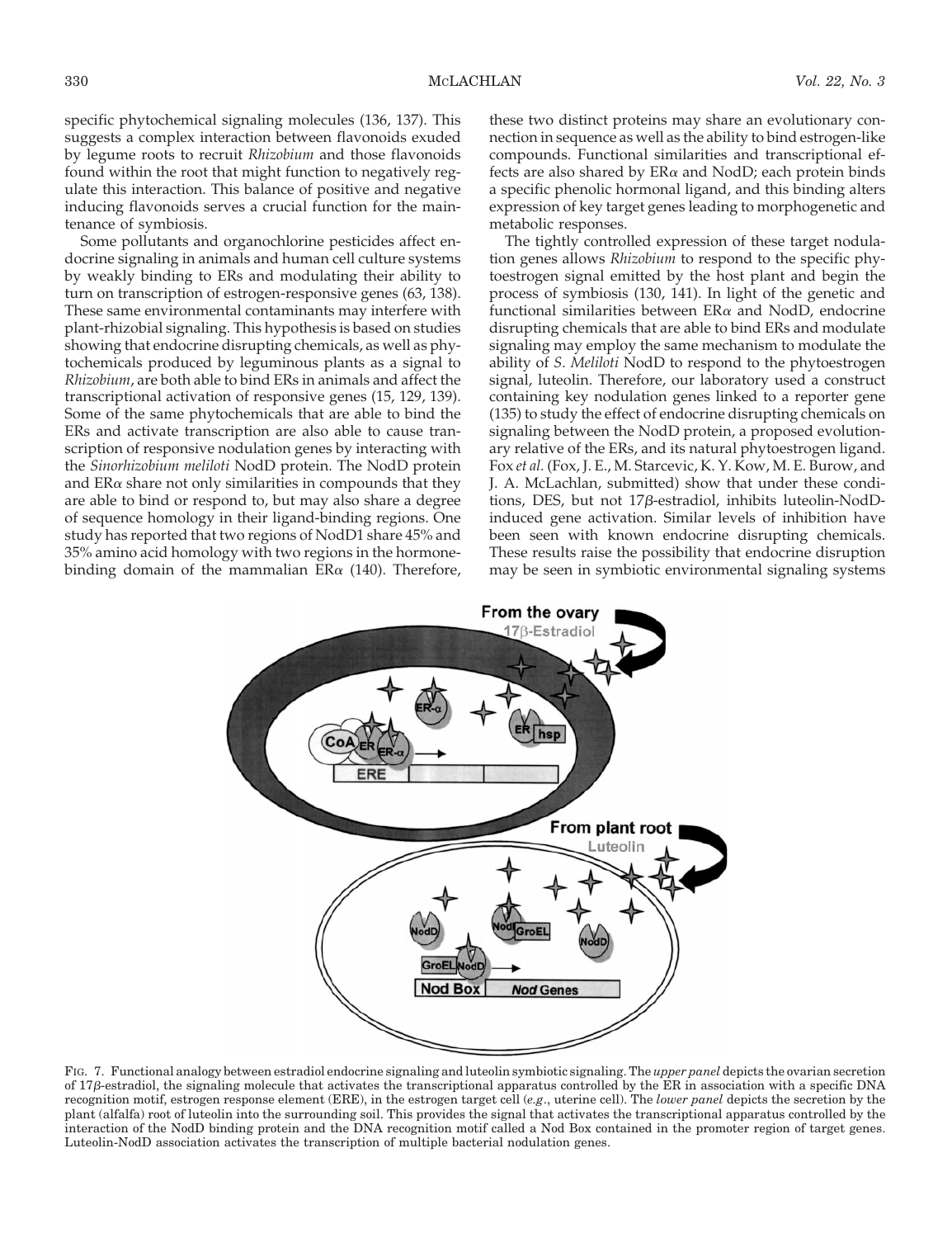specific phytochemical signaling molecules (136, 137). This suggests a complex interaction between flavonoids exuded by legume roots to recruit *Rhizobium* and those flavonoids found within the root that might function to negatively regulate this interaction. This balance of positive and negative inducing flavonoids serves a crucial function for the maintenance of symbiosis.

Some pollutants and organochlorine pesticides affect endocrine signaling in animals and human cell culture systems by weakly binding to ERs and modulating their ability to turn on transcription of estrogen-responsive genes (63, 138). These same environmental contaminants may interfere with plant-rhizobial signaling. This hypothesis is based on studies showing that endocrine disrupting chemicals, as well as phytochemicals produced by leguminous plants as a signal to *Rhizobium*, are both able to bind ERs in animals and affect the transcriptional activation of responsive genes (15, 129, 139). Some of the same phytochemicals that are able to bind the ERs and activate transcription are also able to cause transcription of responsive nodulation genes by interacting with the *Sinorhizobium meliloti* NodD protein. The NodD protein and  $ER\alpha$  share not only similarities in compounds that they are able to bind or respond to, but may also share a degree of sequence homology in their ligand-binding regions. One study has reported that two regions of NodD1 share 45% and 35% amino acid homology with two regions in the hormonebinding domain of the mammalian  $ER\alpha$  (140). Therefore, these two distinct proteins may share an evolutionary connection in sequence as well as the ability to bind estrogen-like compounds. Functional similarities and transcriptional effects are also shared by  $ER\alpha$  and NodD; each protein binds a specific phenolic hormonal ligand, and this binding alters expression of key target genes leading to morphogenetic and metabolic responses.

The tightly controlled expression of these target nodulation genes allows *Rhizobium* to respond to the specific phytoestrogen signal emitted by the host plant and begin the process of symbiosis (130, 141). In light of the genetic and functional similarities between  $ER\alpha$  and NodD, endocrine disrupting chemicals that are able to bind ERs and modulate signaling may employ the same mechanism to modulate the ability of *S. Meliloti* NodD to respond to the phytoestrogen signal, luteolin. Therefore, our laboratory used a construct containing key nodulation genes linked to a reporter gene (135) to study the effect of endocrine disrupting chemicals on signaling between the NodD protein, a proposed evolutionary relative of the ERs, and its natural phytoestrogen ligand. Fox *et al.* (Fox, J. E., M. Starcevic, K. Y. Kow, M. E. Burow, and J. A. McLachlan, submitted) show that under these conditions, DES, but not  $17\beta$ -estradiol, inhibits luteolin-NodDinduced gene activation. Similar levels of inhibition have been seen with known endocrine disrupting chemicals. These results raise the possibility that endocrine disruption may be seen in symbiotic environmental signaling systems



FIG. 7. Functional analogy between estradiol endocrine signaling and luteolin symbiotic signaling. The *upper panel* depicts the ovarian secretion of 17 $\beta$ -estradiol, the signaling molecule that activates the transcriptional apparatus controlled by the ER in association with a specific DNA recognition motif, estrogen response element (ERE), in the estrogen target cell (*e.g*., uterine cell). The *lower panel* depicts the secretion by the plant (alfalfa) root of luteolin into the surrounding soil. This provides the signal that activates the transcriptional apparatus controlled by the interaction of the NodD binding protein and the DNA recognition motif called a Nod Box contained in the promoter region of target genes. Luteolin-NodD association activates the transcription of multiple bacterial nodulation genes.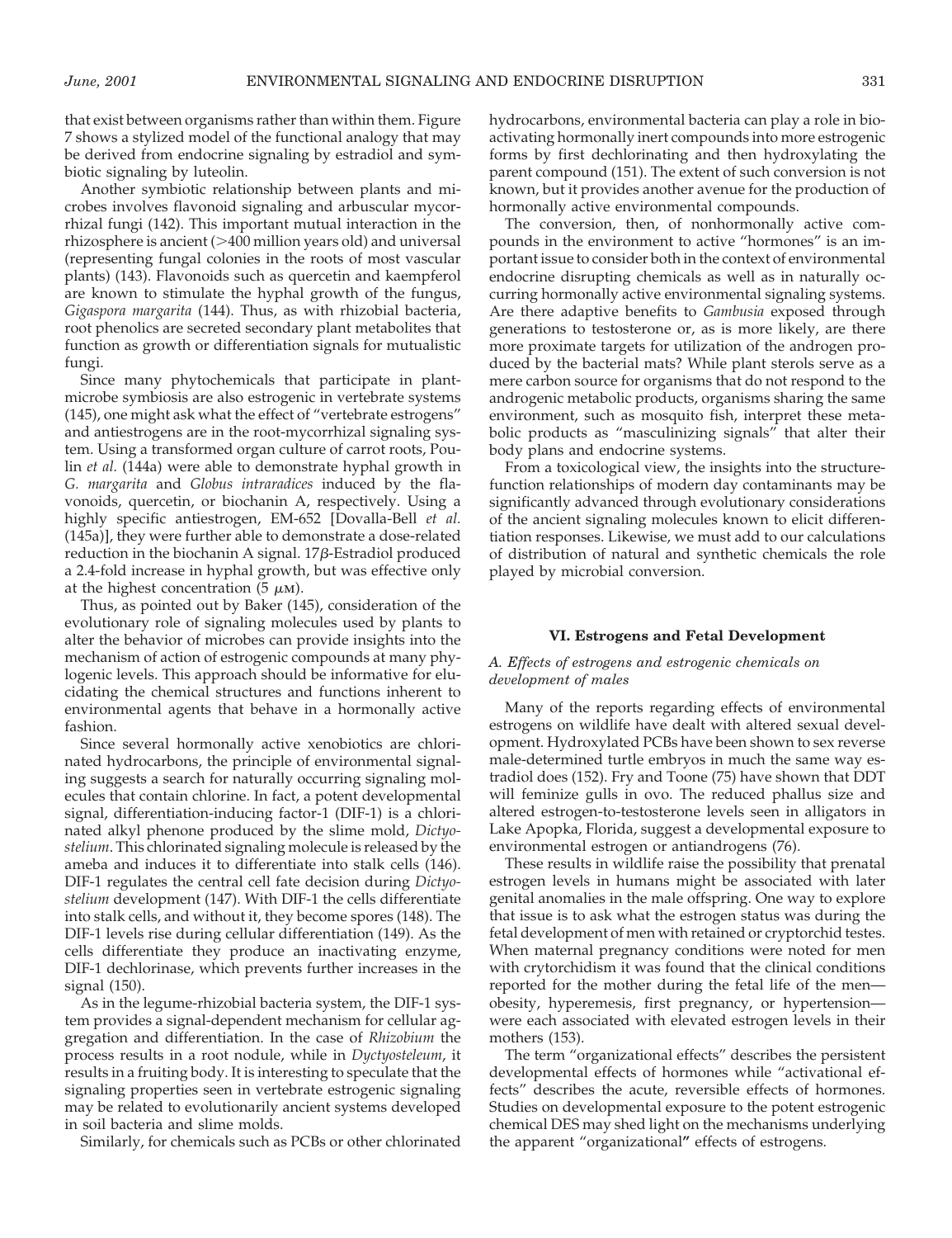that exist between organisms rather than within them. Figure 7 shows a stylized model of the functional analogy that may be derived from endocrine signaling by estradiol and symbiotic signaling by luteolin.

Another symbiotic relationship between plants and microbes involves flavonoid signaling and arbuscular mycorrhizal fungi (142). This important mutual interaction in the  $r$ hizosphere is ancient ( $>$ 400 million years old) and universal (representing fungal colonies in the roots of most vascular plants) (143). Flavonoids such as quercetin and kaempferol are known to stimulate the hyphal growth of the fungus, *Gigaspora margarita* (144). Thus, as with rhizobial bacteria, root phenolics are secreted secondary plant metabolites that function as growth or differentiation signals for mutualistic fungi.

Since many phytochemicals that participate in plantmicrobe symbiosis are also estrogenic in vertebrate systems (145), one might ask what the effect of "vertebrate estrogens" and antiestrogens are in the root-mycorrhizal signaling system. Using a transformed organ culture of carrot roots, Poulin *et al.* (144a) were able to demonstrate hyphal growth in *G. margarita* and *Globus intraradices* induced by the flavonoids, quercetin, or biochanin A, respectively. Using a highly specific antiestrogen, EM-652 [Dovalla-Bell *et al.* (145a)], they were further able to demonstrate a dose-related reduction in the biochanin A signal.  $17\beta$ -Estradiol produced a 2.4-fold increase in hyphal growth, but was effective only at the highest concentration (5  $\mu$ M).

Thus, as pointed out by Baker (145), consideration of the evolutionary role of signaling molecules used by plants to alter the behavior of microbes can provide insights into the mechanism of action of estrogenic compounds at many phylogenic levels. This approach should be informative for elucidating the chemical structures and functions inherent to environmental agents that behave in a hormonally active fashion.

Since several hormonally active xenobiotics are chlorinated hydrocarbons, the principle of environmental signaling suggests a search for naturally occurring signaling molecules that contain chlorine. In fact, a potent developmental signal, differentiation-inducing factor-1 (DIF-1) is a chlorinated alkyl phenone produced by the slime mold, *Dictyostelium*. This chlorinated signaling molecule is released by the ameba and induces it to differentiate into stalk cells (146). DIF-1 regulates the central cell fate decision during *Dictyostelium* development (147). With DIF-1 the cells differentiate into stalk cells, and without it, they become spores (148). The DIF-1 levels rise during cellular differentiation (149). As the cells differentiate they produce an inactivating enzyme, DIF-1 dechlorinase, which prevents further increases in the signal (150).

As in the legume-rhizobial bacteria system, the DIF-1 system provides a signal-dependent mechanism for cellular aggregation and differentiation. In the case of *Rhizobium* the process results in a root nodule, while in *Dyctyosteleum*, it results in a fruiting body. It is interesting to speculate that the signaling properties seen in vertebrate estrogenic signaling may be related to evolutionarily ancient systems developed in soil bacteria and slime molds.

Similarly, for chemicals such as PCBs or other chlorinated

hydrocarbons, environmental bacteria can play a role in bioactivating hormonally inert compounds into more estrogenic forms by first dechlorinating and then hydroxylating the parent compound (151). The extent of such conversion is not known, but it provides another avenue for the production of hormonally active environmental compounds.

The conversion, then, of nonhormonally active compounds in the environment to active "hormones" is an important issue to consider both in the context of environmental endocrine disrupting chemicals as well as in naturally occurring hormonally active environmental signaling systems. Are there adaptive benefits to *Gambusia* exposed through generations to testosterone or, as is more likely, are there more proximate targets for utilization of the androgen produced by the bacterial mats? While plant sterols serve as a mere carbon source for organisms that do not respond to the androgenic metabolic products, organisms sharing the same environment, such as mosquito fish, interpret these metabolic products as "masculinizing signals" that alter their body plans and endocrine systems.

From a toxicological view, the insights into the structurefunction relationships of modern day contaminants may be significantly advanced through evolutionary considerations of the ancient signaling molecules known to elicit differentiation responses. Likewise, we must add to our calculations of distribution of natural and synthetic chemicals the role played by microbial conversion.

#### **VI. Estrogens and Fetal Development**

## *A. Effects of estrogens and estrogenic chemicals on development of males*

Many of the reports regarding effects of environmental estrogens on wildlife have dealt with altered sexual development. Hydroxylated PCBs have been shown to sex reverse male-determined turtle embryos in much the same way estradiol does (152). Fry and Toone (75) have shown that DDT will feminize gulls in ovo. The reduced phallus size and altered estrogen-to-testosterone levels seen in alligators in Lake Apopka, Florida, suggest a developmental exposure to environmental estrogen or antiandrogens (76).

These results in wildlife raise the possibility that prenatal estrogen levels in humans might be associated with later genital anomalies in the male offspring. One way to explore that issue is to ask what the estrogen status was during the fetal development of men with retained or cryptorchid testes. When maternal pregnancy conditions were noted for men with crytorchidism it was found that the clinical conditions reported for the mother during the fetal life of the men obesity, hyperemesis, first pregnancy, or hypertension were each associated with elevated estrogen levels in their mothers (153).

The term "organizational effects" describes the persistent developmental effects of hormones while "activational effects" describes the acute, reversible effects of hormones. Studies on developmental exposure to the potent estrogenic chemical DES may shed light on the mechanisms underlying the apparent "organizational**"** effects of estrogens.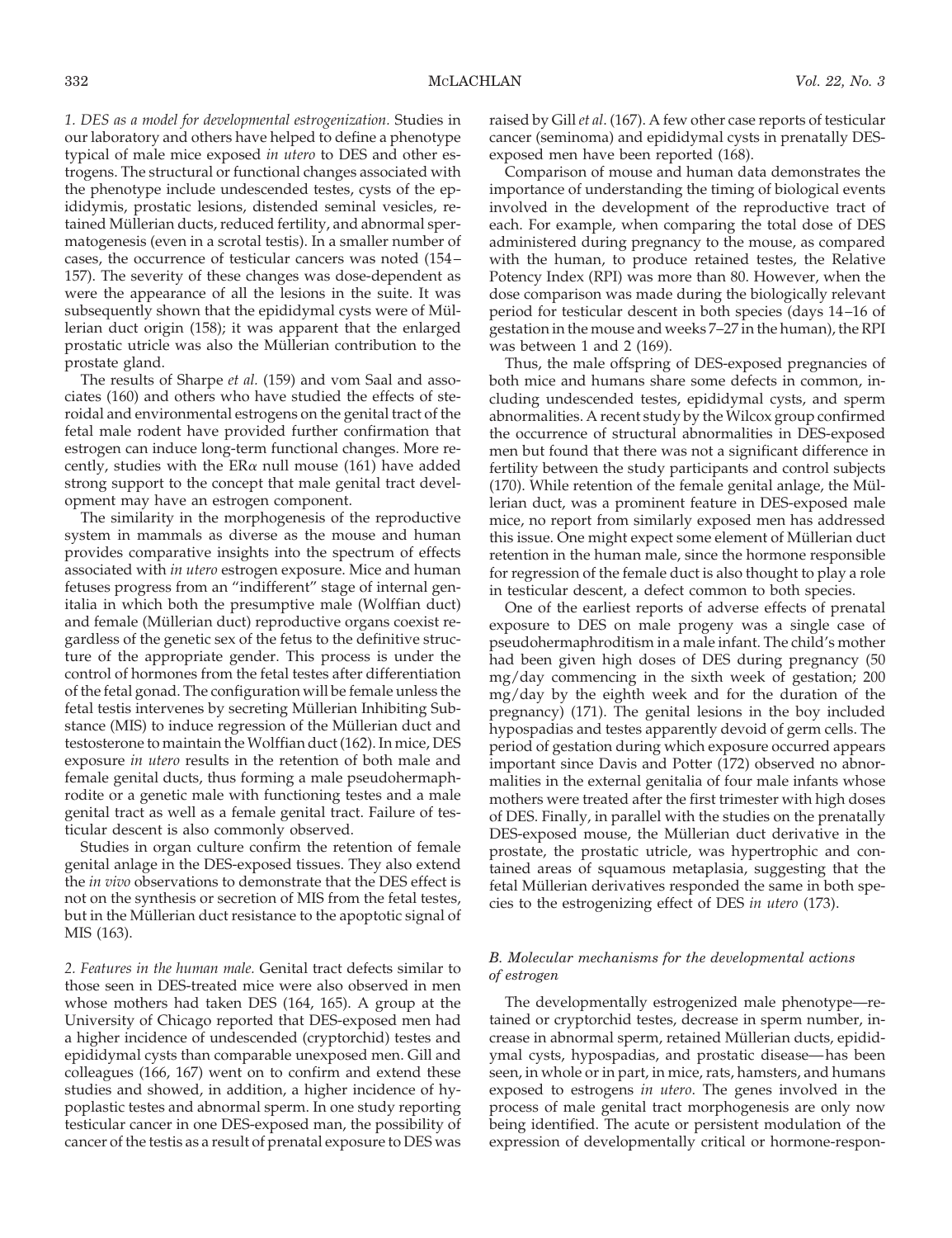*1. DES as a model for developmental estrogenization.* Studies in our laboratory and others have helped to define a phenotype typical of male mice exposed *in utero* to DES and other estrogens. The structural or functional changes associated with the phenotype include undescended testes, cysts of the epididymis, prostatic lesions, distended seminal vesicles, retained Müllerian ducts, reduced fertility, and abnormal spermatogenesis (even in a scrotal testis). In a smaller number of cases, the occurrence of testicular cancers was noted (154– 157). The severity of these changes was dose-dependent as were the appearance of all the lesions in the suite. It was subsequently shown that the epididymal cysts were of Müllerian duct origin (158); it was apparent that the enlarged prostatic utricle was also the Müllerian contribution to the prostate gland.

The results of Sharpe *et al.* (159) and vom Saal and associates (160) and others who have studied the effects of steroidal and environmental estrogens on the genital tract of the fetal male rodent have provided further confirmation that estrogen can induce long-term functional changes. More recently, studies with the  $ER\alpha$  null mouse (161) have added strong support to the concept that male genital tract development may have an estrogen component.

The similarity in the morphogenesis of the reproductive system in mammals as diverse as the mouse and human provides comparative insights into the spectrum of effects associated with *in utero* estrogen exposure. Mice and human fetuses progress from an "indifferent" stage of internal genitalia in which both the presumptive male (Wolffian duct) and female (Müllerian duct) reproductive organs coexist regardless of the genetic sex of the fetus to the definitive structure of the appropriate gender. This process is under the control of hormones from the fetal testes after differentiation of the fetal gonad. The configuration will be female unless the fetal testis intervenes by secreting Müllerian Inhibiting Substance (MIS) to induce regression of the Müllerian duct and testosterone to maintain the Wolffian duct (162). In mice, DES exposure *in utero* results in the retention of both male and female genital ducts, thus forming a male pseudohermaphrodite or a genetic male with functioning testes and a male genital tract as well as a female genital tract. Failure of testicular descent is also commonly observed.

Studies in organ culture confirm the retention of female genital anlage in the DES-exposed tissues. They also extend the *in vivo* observations to demonstrate that the DES effect is not on the synthesis or secretion of MIS from the fetal testes, but in the Müllerian duct resistance to the apoptotic signal of MIS (163).

*2. Features in the human male.* Genital tract defects similar to those seen in DES-treated mice were also observed in men whose mothers had taken DES (164, 165). A group at the University of Chicago reported that DES-exposed men had a higher incidence of undescended (cryptorchid) testes and epididymal cysts than comparable unexposed men. Gill and colleagues (166, 167) went on to confirm and extend these studies and showed, in addition, a higher incidence of hypoplastic testes and abnormal sperm. In one study reporting testicular cancer in one DES-exposed man, the possibility of cancer of the testis as a result of prenatal exposure to DES was

raised by Gill*et al*. (167). A few other case reports of testicular cancer (seminoma) and epididymal cysts in prenatally DESexposed men have been reported (168).

Comparison of mouse and human data demonstrates the importance of understanding the timing of biological events involved in the development of the reproductive tract of each. For example, when comparing the total dose of DES administered during pregnancy to the mouse, as compared with the human, to produce retained testes, the Relative Potency Index (RPI) was more than 80. However, when the dose comparison was made during the biologically relevant period for testicular descent in both species (days 14–16 of gestation in the mouse and weeks 7–27 in the human), the RPI was between 1 and 2 (169).

Thus, the male offspring of DES-exposed pregnancies of both mice and humans share some defects in common, including undescended testes, epididymal cysts, and sperm abnormalities. A recent study by the Wilcox group confirmed the occurrence of structural abnormalities in DES-exposed men but found that there was not a significant difference in fertility between the study participants and control subjects (170). While retention of the female genital anlage, the Müllerian duct, was a prominent feature in DES-exposed male mice, no report from similarly exposed men has addressed this issue. One might expect some element of Müllerian duct retention in the human male, since the hormone responsible for regression of the female duct is also thought to play a role in testicular descent, a defect common to both species.

One of the earliest reports of adverse effects of prenatal exposure to DES on male progeny was a single case of pseudohermaphroditism in a male infant. The child's mother had been given high doses of DES during pregnancy (50 mg/day commencing in the sixth week of gestation; 200 mg/day by the eighth week and for the duration of the pregnancy) (171). The genital lesions in the boy included hypospadias and testes apparently devoid of germ cells. The period of gestation during which exposure occurred appears important since Davis and Potter (172) observed no abnormalities in the external genitalia of four male infants whose mothers were treated after the first trimester with high doses of DES. Finally, in parallel with the studies on the prenatally DES-exposed mouse, the Müllerian duct derivative in the prostate, the prostatic utricle, was hypertrophic and contained areas of squamous metaplasia, suggesting that the fetal Müllerian derivatives responded the same in both species to the estrogenizing effect of DES *in utero* (173).

## *B. Molecular mechanisms for the developmental actions of estrogen*

The developmentally estrogenized male phenotype—retained or cryptorchid testes, decrease in sperm number, increase in abnormal sperm, retained Müllerian ducts, epididymal cysts, hypospadias, and prostatic disease—has been seen, in whole or in part, in mice, rats, hamsters, and humans exposed to estrogens *in utero*. The genes involved in the process of male genital tract morphogenesis are only now being identified. The acute or persistent modulation of the expression of developmentally critical or hormone-respon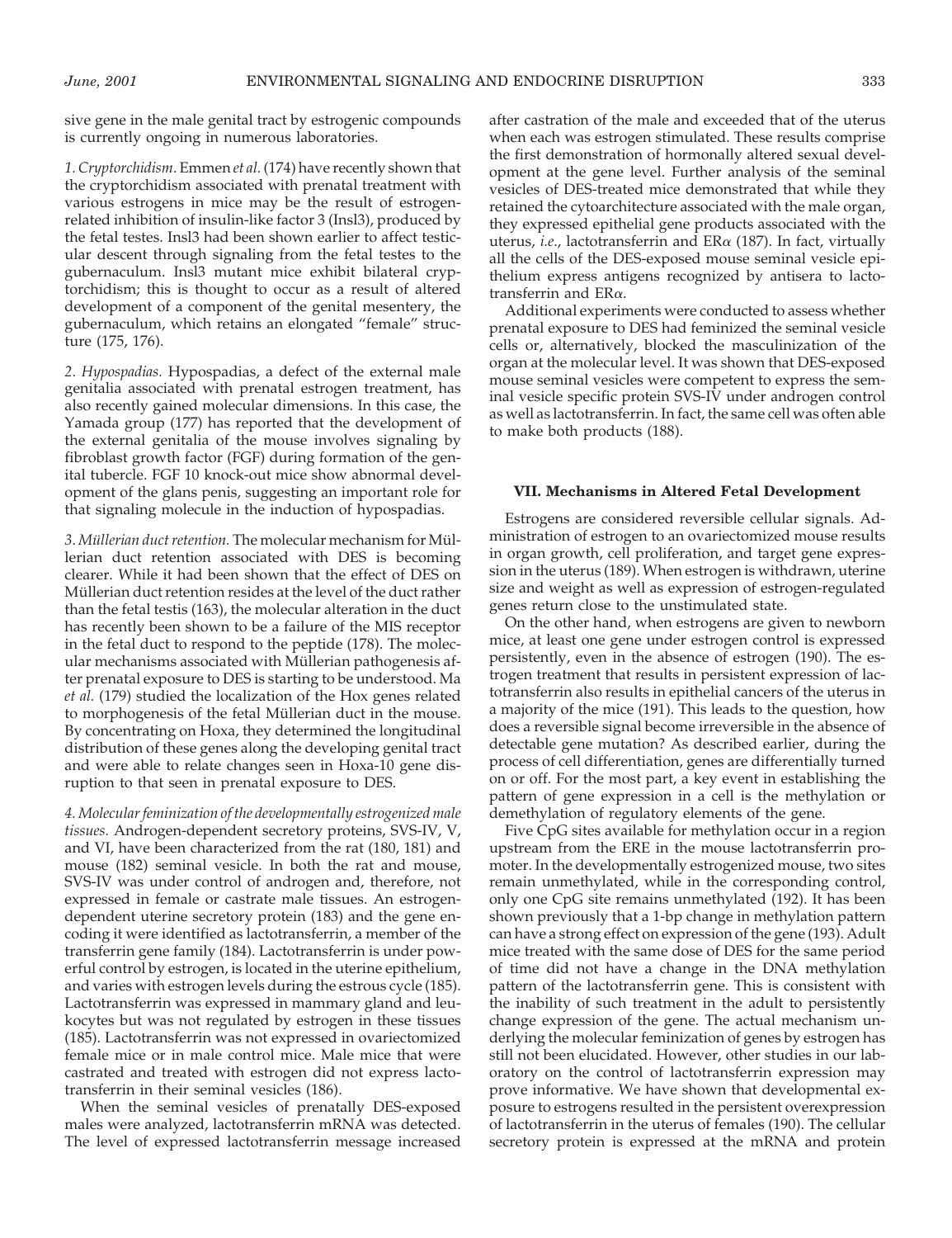sive gene in the male genital tract by estrogenic compounds is currently ongoing in numerous laboratories.

*1. Cryptorchidism*. Emmen *et al.* (174) have recently shown that the cryptorchidism associated with prenatal treatment with various estrogens in mice may be the result of estrogenrelated inhibition of insulin-like factor 3 (Insl3), produced by the fetal testes. Insl3 had been shown earlier to affect testicular descent through signaling from the fetal testes to the gubernaculum. Insl3 mutant mice exhibit bilateral cryptorchidism; this is thought to occur as a result of altered development of a component of the genital mesentery, the gubernaculum, which retains an elongated "female" structure (175, 176).

*2*. *Hypospadias.* Hypospadias, a defect of the external male genitalia associated with prenatal estrogen treatment, has also recently gained molecular dimensions. In this case, the Yamada group (177) has reported that the development of the external genitalia of the mouse involves signaling by fibroblast growth factor (FGF) during formation of the genital tubercle. FGF 10 knock-out mice show abnormal development of the glans penis, suggesting an important role for that signaling molecule in the induction of hypospadias.

3. *Müllerian duct retention*. The molecular mechanism for Müllerian duct retention associated with DES is becoming clearer. While it had been shown that the effect of DES on Müllerian duct retention resides at the level of the duct rather than the fetal testis (163), the molecular alteration in the duct has recently been shown to be a failure of the MIS receptor in the fetal duct to respond to the peptide (178). The molecular mechanisms associated with Müllerian pathogenesis after prenatal exposure to DES is starting to be understood. Ma *et al.* (179) studied the localization of the Hox genes related to morphogenesis of the fetal Müllerian duct in the mouse. By concentrating on Hoxa, they determined the longitudinal distribution of these genes along the developing genital tract and were able to relate changes seen in Hoxa-10 gene disruption to that seen in prenatal exposure to DES.

*4. Molecularfeminization of the developmentally estrogenized male tissues.* Androgen-dependent secretory proteins, SVS-IV, V, and VI, have been characterized from the rat (180, 181) and mouse (182) seminal vesicle. In both the rat and mouse, SVS-IV was under control of androgen and, therefore, not expressed in female or castrate male tissues. An estrogendependent uterine secretory protein (183) and the gene encoding it were identified as lactotransferrin, a member of the transferrin gene family (184). Lactotransferrin is under powerful control by estrogen, is located in the uterine epithelium, and varies with estrogen levels during the estrous cycle (185). Lactotransferrin was expressed in mammary gland and leukocytes but was not regulated by estrogen in these tissues (185). Lactotransferrin was not expressed in ovariectomized female mice or in male control mice. Male mice that were castrated and treated with estrogen did not express lactotransferrin in their seminal vesicles (186).

When the seminal vesicles of prenatally DES-exposed males were analyzed, lactotransferrin mRNA was detected. The level of expressed lactotransferrin message increased after castration of the male and exceeded that of the uterus when each was estrogen stimulated. These results comprise the first demonstration of hormonally altered sexual development at the gene level. Further analysis of the seminal vesicles of DES-treated mice demonstrated that while they retained the cytoarchitecture associated with the male organ, they expressed epithelial gene products associated with the uterus, *i.e.*, lactotransferrin and  $ER\alpha$  (187). In fact, virtually all the cells of the DES-exposed mouse seminal vesicle epithelium express antigens recognized by antisera to lactotransferrin and  $ER\alpha$ .

Additional experiments were conducted to assess whether prenatal exposure to DES had feminized the seminal vesicle cells or, alternatively, blocked the masculinization of the organ at the molecular level. It was shown that DES-exposed mouse seminal vesicles were competent to express the seminal vesicle specific protein SVS-IV under androgen control as well as lactotransferrin. In fact, the same cell was often able to make both products (188).

## **VII. Mechanisms in Altered Fetal Development**

Estrogens are considered reversible cellular signals. Administration of estrogen to an ovariectomized mouse results in organ growth, cell proliferation, and target gene expression in the uterus (189). When estrogen is withdrawn, uterine size and weight as well as expression of estrogen-regulated genes return close to the unstimulated state.

On the other hand, when estrogens are given to newborn mice, at least one gene under estrogen control is expressed persistently, even in the absence of estrogen (190). The estrogen treatment that results in persistent expression of lactotransferrin also results in epithelial cancers of the uterus in a majority of the mice (191). This leads to the question, how does a reversible signal become irreversible in the absence of detectable gene mutation? As described earlier, during the process of cell differentiation, genes are differentially turned on or off. For the most part, a key event in establishing the pattern of gene expression in a cell is the methylation or demethylation of regulatory elements of the gene.

Five CpG sites available for methylation occur in a region upstream from the ERE in the mouse lactotransferrin promoter. In the developmentally estrogenized mouse, two sites remain unmethylated, while in the corresponding control, only one CpG site remains unmethylated (192). It has been shown previously that a 1-bp change in methylation pattern can have a strong effect on expression of the gene (193). Adult mice treated with the same dose of DES for the same period of time did not have a change in the DNA methylation pattern of the lactotransferrin gene. This is consistent with the inability of such treatment in the adult to persistently change expression of the gene. The actual mechanism underlying the molecular feminization of genes by estrogen has still not been elucidated. However, other studies in our laboratory on the control of lactotransferrin expression may prove informative. We have shown that developmental exposure to estrogens resulted in the persistent overexpression of lactotransferrin in the uterus of females (190). The cellular secretory protein is expressed at the mRNA and protein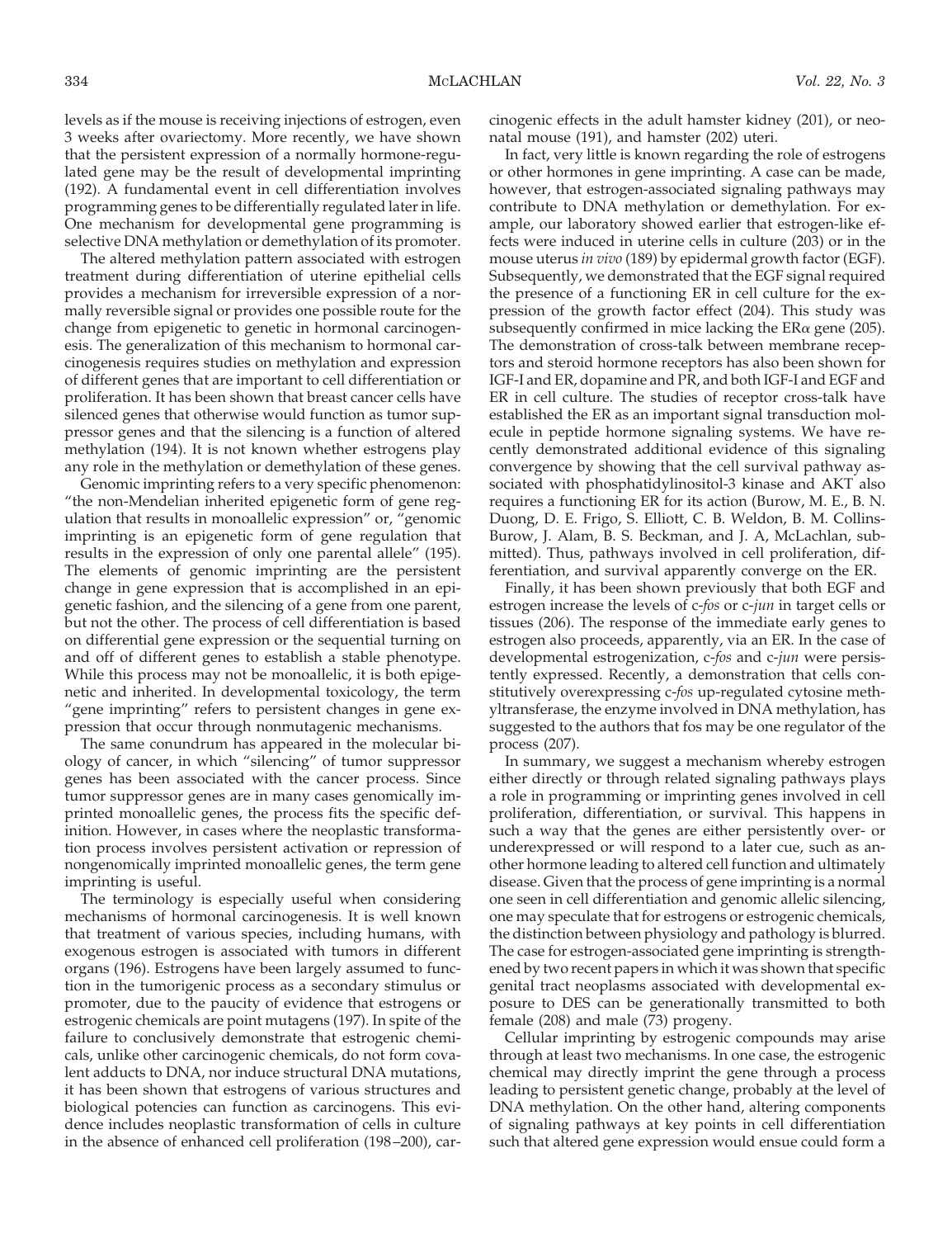levels as if the mouse is receiving injections of estrogen, even 3 weeks after ovariectomy. More recently, we have shown that the persistent expression of a normally hormone-regulated gene may be the result of developmental imprinting (192). A fundamental event in cell differentiation involves programming genes to be differentially regulated laterin life. One mechanism for developmental gene programming is selective DNA methylation or demethylation of its promoter.

The altered methylation pattern associated with estrogen treatment during differentiation of uterine epithelial cells provides a mechanism for irreversible expression of a normally reversible signal or provides one possible route for the change from epigenetic to genetic in hormonal carcinogenesis. The generalization of this mechanism to hormonal carcinogenesis requires studies on methylation and expression of different genes that are important to cell differentiation or proliferation. It has been shown that breast cancer cells have silenced genes that otherwise would function as tumor suppressor genes and that the silencing is a function of altered methylation (194). It is not known whether estrogens play any role in the methylation or demethylation of these genes.

Genomic imprinting refers to a very specific phenomenon: "the non-Mendelian inherited epigenetic form of gene regulation that results in monoallelic expression" or, "genomic imprinting is an epigenetic form of gene regulation that results in the expression of only one parental allele" (195). The elements of genomic imprinting are the persistent change in gene expression that is accomplished in an epigenetic fashion, and the silencing of a gene from one parent, but not the other. The process of cell differentiation is based on differential gene expression or the sequential turning on and off of different genes to establish a stable phenotype. While this process may not be monoallelic, it is both epigenetic and inherited. In developmental toxicology, the term "gene imprinting" refers to persistent changes in gene expression that occur through nonmutagenic mechanisms.

The same conundrum has appeared in the molecular biology of cancer, in which "silencing" of tumor suppressor genes has been associated with the cancer process. Since tumor suppressor genes are in many cases genomically imprinted monoallelic genes, the process fits the specific definition. However, in cases where the neoplastic transformation process involves persistent activation or repression of nongenomically imprinted monoallelic genes, the term gene imprinting is useful.

The terminology is especially useful when considering mechanisms of hormonal carcinogenesis. It is well known that treatment of various species, including humans, with exogenous estrogen is associated with tumors in different organs (196). Estrogens have been largely assumed to function in the tumorigenic process as a secondary stimulus or promoter, due to the paucity of evidence that estrogens or estrogenic chemicals are point mutagens (197). In spite of the failure to conclusively demonstrate that estrogenic chemicals, unlike other carcinogenic chemicals, do not form covalent adducts to DNA, nor induce structural DNA mutations, it has been shown that estrogens of various structures and biological potencies can function as carcinogens. This evidence includes neoplastic transformation of cells in culture in the absence of enhanced cell proliferation (198–200), car-

cinogenic effects in the adult hamster kidney (201), or neonatal mouse (191), and hamster (202) uteri.

In fact, very little is known regarding the role of estrogens or other hormones in gene imprinting. A case can be made, however, that estrogen-associated signaling pathways may contribute to DNA methylation or demethylation. For example, our laboratory showed earlier that estrogen-like effects were induced in uterine cells in culture (203) or in the mouse uterus *in vivo* (189) by epidermal growth factor (EGF). Subsequently, we demonstrated that the EGF signal required the presence of a functioning ER in cell culture for the expression of the growth factor effect (204). This study was subsequently confirmed in mice lacking the  $ER\alpha$  gene (205). The demonstration of cross-talk between membrane receptors and steroid hormone receptors has also been shown for IGF-I and ER, dopamine and PR, and both IGF-I and EGF and ER in cell culture. The studies of receptor cross-talk have established the ER as an important signal transduction molecule in peptide hormone signaling systems. We have recently demonstrated additional evidence of this signaling convergence by showing that the cell survival pathway associated with phosphatidylinositol-3 kinase and AKT also requires a functioning ER for its action (Burow, M. E., B. N. Duong, D. E. Frigo, S. Elliott, C. B. Weldon, B. M. Collins-Burow, J. Alam, B. S. Beckman, and J. A, McLachlan, submitted). Thus, pathways involved in cell proliferation, differentiation, and survival apparently converge on the ER.

Finally, it has been shown previously that both EGF and estrogen increase the levels of c-*fos* or c-*jun* in target cells or tissues (206). The response of the immediate early genes to estrogen also proceeds, apparently, via an ER. In the case of developmental estrogenization, c-*fos* and c-*jun* were persistently expressed. Recently, a demonstration that cells constitutively overexpressing c-*fos* up-regulated cytosine methyltransferase, the enzyme involved in DNA methylation, has suggested to the authors that fos may be one regulator of the process (207).

In summary, we suggest a mechanism whereby estrogen either directly or through related signaling pathways plays a role in programming or imprinting genes involved in cell proliferation, differentiation, or survival. This happens in such a way that the genes are either persistently over- or underexpressed or will respond to a later cue, such as another hormone leading to altered cell function and ultimately disease. Given that the process of gene imprinting is a normal one seen in cell differentiation and genomic allelic silencing, one may speculate that for estrogens or estrogenic chemicals, the distinction between physiology and pathology is blurred. The case for estrogen-associated gene imprinting is strengthened by two recent papers in which it was shown that specific genital tract neoplasms associated with developmental exposure to DES can be generationally transmitted to both female (208) and male (73) progeny.

Cellular imprinting by estrogenic compounds may arise through at least two mechanisms. In one case, the estrogenic chemical may directly imprint the gene through a process leading to persistent genetic change, probably at the level of DNA methylation. On the other hand, altering components of signaling pathways at key points in cell differentiation such that altered gene expression would ensue could form a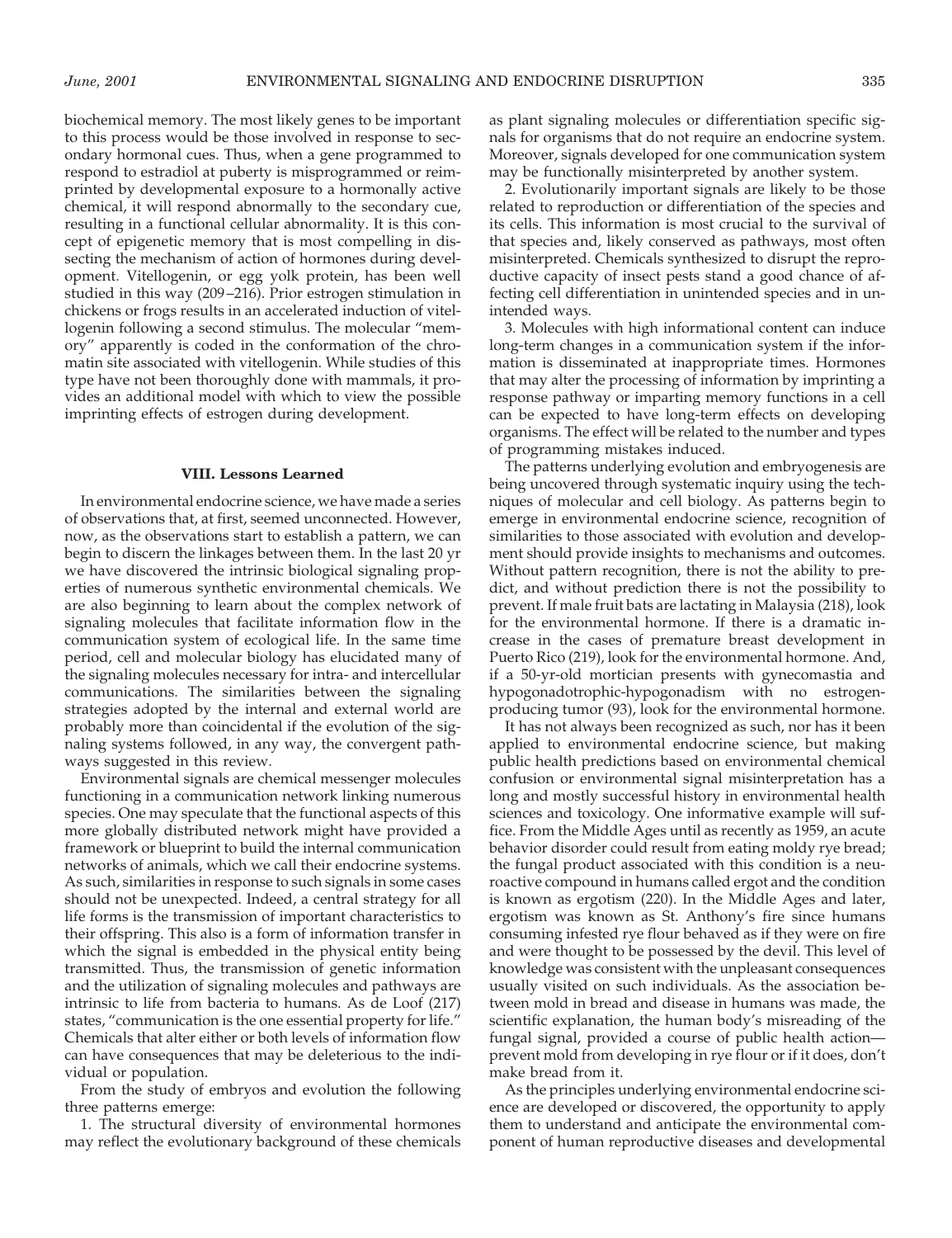biochemical memory. The most likely genes to be important to this process would be those involved in response to secondary hormonal cues. Thus, when a gene programmed to respond to estradiol at puberty is misprogrammed or reimprinted by developmental exposure to a hormonally active chemical, it will respond abnormally to the secondary cue, resulting in a functional cellular abnormality. It is this concept of epigenetic memory that is most compelling in dissecting the mechanism of action of hormones during development. Vitellogenin, or egg yolk protein, has been well studied in this way (209–216). Prior estrogen stimulation in chickens or frogs results in an accelerated induction of vitellogenin following a second stimulus. The molecular "memory" apparently is coded in the conformation of the chromatin site associated with vitellogenin. While studies of this type have not been thoroughly done with mammals, it provides an additional model with which to view the possible imprinting effects of estrogen during development.

## **VIII. Lessons Learned**

In environmental endocrine science, we have made a series of observations that, at first, seemed unconnected. However, now, as the observations start to establish a pattern, we can begin to discern the linkages between them. In the last 20 yr we have discovered the intrinsic biological signaling properties of numerous synthetic environmental chemicals. We are also beginning to learn about the complex network of signaling molecules that facilitate information flow in the communication system of ecological life. In the same time period, cell and molecular biology has elucidated many of the signaling molecules necessary for intra- and intercellular communications. The similarities between the signaling strategies adopted by the internal and external world are probably more than coincidental if the evolution of the signaling systems followed, in any way, the convergent pathways suggested in this review.

Environmental signals are chemical messenger molecules functioning in a communication network linking numerous species. One may speculate that the functional aspects of this more globally distributed network might have provided a framework or blueprint to build the internal communication networks of animals, which we call their endocrine systems. As such, similarities in response to such signals in some cases should not be unexpected. Indeed, a central strategy for all life forms is the transmission of important characteristics to their offspring. This also is a form of information transfer in which the signal is embedded in the physical entity being transmitted. Thus, the transmission of genetic information and the utilization of signaling molecules and pathways are intrinsic to life from bacteria to humans. As de Loof (217) states, "communication is the one essential property for life." Chemicals that alter either or both levels of information flow can have consequences that may be deleterious to the individual or population.

From the study of embryos and evolution the following three patterns emerge:

1. The structural diversity of environmental hormones may reflect the evolutionary background of these chemicals

as plant signaling molecules or differentiation specific signals for organisms that do not require an endocrine system. Moreover, signals developed for one communication system may be functionally misinterpreted by another system.

2. Evolutionarily important signals are likely to be those related to reproduction or differentiation of the species and its cells. This information is most crucial to the survival of that species and, likely conserved as pathways, most often misinterpreted. Chemicals synthesized to disrupt the reproductive capacity of insect pests stand a good chance of affecting cell differentiation in unintended species and in unintended ways.

3. Molecules with high informational content can induce long-term changes in a communication system if the information is disseminated at inappropriate times. Hormones that may alter the processing of information by imprinting a response pathway or imparting memory functions in a cell can be expected to have long-term effects on developing organisms. The effect will be related to the number and types of programming mistakes induced.

The patterns underlying evolution and embryogenesis are being uncovered through systematic inquiry using the techniques of molecular and cell biology. As patterns begin to emerge in environmental endocrine science, recognition of similarities to those associated with evolution and development should provide insights to mechanisms and outcomes. Without pattern recognition, there is not the ability to predict, and without prediction there is not the possibility to prevent. If male fruit bats are lactating in Malaysia (218), look for the environmental hormone. If there is a dramatic increase in the cases of premature breast development in Puerto Rico (219), look for the environmental hormone. And, if a 50-yr-old mortician presents with gynecomastia and hypogonadotrophic-hypogonadism with no estrogenproducing tumor (93), look for the environmental hormone.

It has not always been recognized as such, nor has it been applied to environmental endocrine science, but making public health predictions based on environmental chemical confusion or environmental signal misinterpretation has a long and mostly successful history in environmental health sciences and toxicology. One informative example will suffice. From the Middle Ages until as recently as 1959, an acute behavior disorder could result from eating moldy rye bread; the fungal product associated with this condition is a neuroactive compound in humans called ergot and the condition is known as ergotism (220). In the Middle Ages and later, ergotism was known as St. Anthony's fire since humans consuming infested rye flour behaved as if they were on fire and were thought to be possessed by the devil. This level of knowledge was consistent with the unpleasant consequences usually visited on such individuals. As the association between mold in bread and disease in humans was made, the scientific explanation, the human body's misreading of the fungal signal, provided a course of public health action prevent mold from developing in rye flour or if it does, don't make bread from it.

As the principles underlying environmental endocrine science are developed or discovered, the opportunity to apply them to understand and anticipate the environmental component of human reproductive diseases and developmental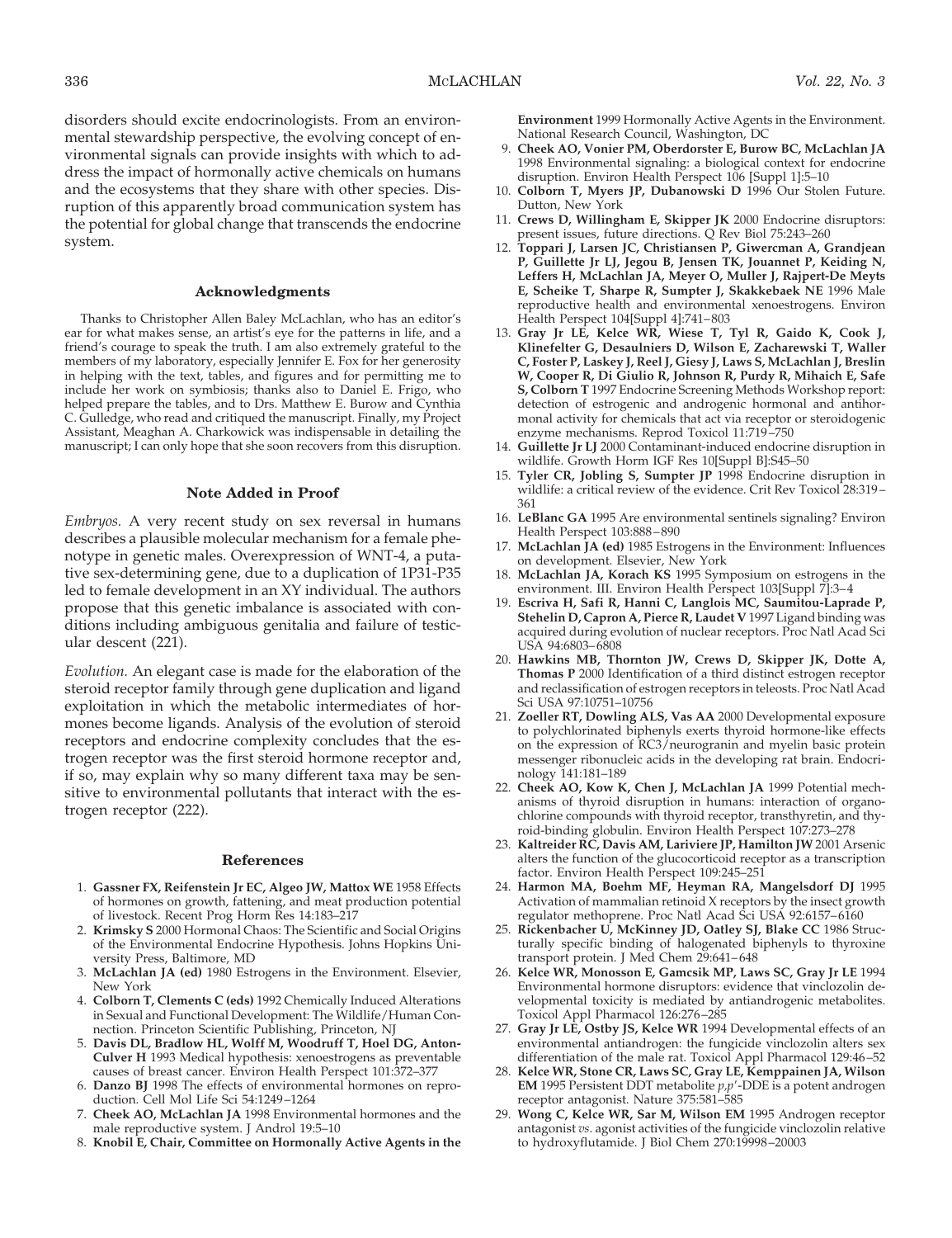disorders should excite endocrinologists. From an environmental stewardship perspective, the evolving concept of environmental signals can provide insights with which to address the impact of hormonally active chemicals on humans and the ecosystems that they share with other species. Disruption of this apparently broad communication system has the potential for global change that transcends the endocrine system.

#### **Acknowledgments**

Thanks to Christopher Allen Baley McLachlan, who has an editor's ear for what makes sense, an artist's eye for the patterns in life, and a friend's courage to speak the truth. I am also extremely grateful to the members of my laboratory, especially Jennifer E. Fox for her generosity in helping with the text, tables, and figures and for permitting me to include her work on symbiosis; thanks also to Daniel E. Frigo, who helped prepare the tables, and to Drs. Matthew E. Burow and Cynthia C. Gulledge, who read and critiqued the manuscript. Finally, my Project Assistant, Meaghan A. Charkowick was indispensable in detailing the manuscript; I can only hope that she soon recovers from this disruption.

#### **Note Added in Proof**

*Embryos.* A very recent study on sex reversal in humans describes a plausible molecular mechanism for a female phenotype in genetic males. Overexpression of WNT-4, a putative sex-determining gene, due to a duplication of 1P31-P35 led to female development in an XY individual. The authors propose that this genetic imbalance is associated with conditions including ambiguous genitalia and failure of testicular descent (221).

*Evolution.* An elegant case is made for the elaboration of the steroid receptor family through gene duplication and ligand exploitation in which the metabolic intermediates of hormones become ligands. Analysis of the evolution of steroid receptors and endocrine complexity concludes that the estrogen receptor was the first steroid hormone receptor and, if so, may explain why so many different taxa may be sensitive to environmental pollutants that interact with the estrogen receptor (222).

#### **References**

- 1. **Gassner FX, Reifenstein Jr EC, Algeo JW, Mattox WE** 1958 Effects of hormones on growth, fattening, and meat production potential of livestock. Recent Prog Horm Res 14:183–217
- 2. **Krimsky S** 2000 Hormonal Chaos: The Scientific and Social Origins of the Environmental Endocrine Hypothesis. Johns Hopkins University Press, Baltimore, MD
- 3. **McLachlan JA (ed)** 1980 Estrogens in the Environment. Elsevier, New York
- 4. **Colborn T, Clements C (eds)** 1992 Chemically Induced Alterations in Sexual and Functional Development: The Wildlife/Human Connection. Princeton Scientific Publishing, Princeton, NJ
- 5. **Davis DL, Bradlow HL, Wolff M, Woodruff T, Hoel DG, Anton-Culver H** 1993 Medical hypothesis: xenoestrogens as preventable causes of breast cancer. Environ Health Perspect 101:372–377
- 6. **Danzo BJ** 1998 The effects of environmental hormones on reproduction. Cell Mol Life Sci 54:1249–1264
- 7. **Cheek AO, McLachlan JA** 1998 Environmental hormones and the male reproductive system. J Androl 19:5–10
- 8. **Knobil E, Chair, Committee on Hormonally Active Agents in the**

**Environment** 1999 Hormonally Active Agents in the Environment. National Research Council, Washington, DC

- 9. **Cheek AO, Vonier PM, Oberdorster E, Burow BC, McLachlan JA** 1998 Environmental signaling: a biological context for endocrine disruption. Environ Health Perspect 106 [Suppl 1]:5–10
- 10. **Colborn T, Myers JP, Dubanowski D** 1996 Our Stolen Future. Dutton, New York
- 11. **Crews D, Willingham E, Skipper JK** 2000 Endocrine disruptors: present issues, future directions. Q Rev Biol 75:243–260
- 12. **Toppari J, Larsen JC, Christiansen P, Giwercman A, Grandjean P, Guillette Jr LJ, Jegou B, Jensen TK, Jouannet P, Keiding N, Leffers H, McLachlan JA, Meyer O, Muller J, Rajpert-De Meyts E, Scheike T, Sharpe R, Sumpter J, Skakkebaek NE** 1996 Male reproductive health and environmental xenoestrogens. Environ Health Perspect 104[Suppl 4]:741–803
- 13. **Gray Jr LE, Kelce WR, Wiese T, Tyl R, Gaido K, Cook J, Klinefelter G, Desaulniers D, Wilson E, Zacharewski T, Waller C, Foster P, Laskey J, Reel J, Giesy J, Laws S, McLachlan J, Breslin W, Cooper R, Di Giulio R, Johnson R, Purdy R, Mihaich E, Safe S, Colborn T** 1997 Endocrine Screening Methods Workshop report: detection of estrogenic and androgenic hormonal and antihormonal activity for chemicals that act via receptor or steroidogenic enzyme mechanisms. Reprod Toxicol 11:719–750
- 14. **Guillette Jr LJ** 2000 Contaminant-induced endocrine disruption in wildlife. Growth Horm IGF Res 10[Suppl B]:S45–50
- 15. **Tyler CR, Jobling S, Sumpter JP** 1998 Endocrine disruption in wildlife: a critical review of the evidence. Crit Rev Toxicol 28:319– 361
- 16. **LeBlanc GA** 1995 Are environmental sentinels signaling? Environ Health Perspect 103:888-890
- 17. **McLachlan JA (ed)** 1985 Estrogens in the Environment: Influences on development. Elsevier, New York
- 18. **McLachlan JA, Korach KS** 1995 Symposium on estrogens in the environment. III. Environ Health Perspect 103[Suppl 7]:3-4
- 19. **Escriva H, Safi R, Hanni C, Langlois MC, Saumitou-Laprade P, Stehelin D, Capron A, Pierce R, Laudet V** 1997 Ligand binding was acquired during evolution of nuclear receptors. Proc Natl Acad Sci USA 94:6803–6808
- 20. **Hawkins MB, Thornton JW, Crews D, Skipper JK, Dotte A, Thomas P** 2000 Identification of a third distinct estrogen receptor and reclassification of estrogen receptors in teleosts. Proc Natl Acad Sci USA 97:10751–10756
- 21. **Zoeller RT, Dowling ALS, Vas AA** 2000 Developmental exposure to polychlorinated biphenyls exerts thyroid hormone-like effects on the expression of RC3/neurogranin and myelin basic protein messenger ribonucleic acids in the developing rat brain. Endocrinology 141:181–189
- 22. **Cheek AO, Kow K, Chen J, McLachlan JA** 1999 Potential mechanisms of thyroid disruption in humans: interaction of organochlorine compounds with thyroid receptor, transthyretin, and thyroid-binding globulin. Environ Health Perspect 107:273–278
- 23. **Kaltreider RC, Davis AM, Lariviere JP, Hamilton JW** 2001 Arsenic alters the function of the glucocorticoid receptor as a transcription factor. Environ Health Perspect 109:245–251
- 24. **Harmon MA, Boehm MF, Heyman RA, Mangelsdorf DJ** 1995 Activation of mammalian retinoid X receptors by the insect growth regulator methoprene. Proc Natl Acad Sci USA 92:6157–6160
- 25. **Rickenbacher U, McKinney JD, Oatley SJ, Blake CC** 1986 Structurally specific binding of halogenated biphenyls to thyroxine transport protein. J Med Chem 29:641–648
- 26. **Kelce WR, Monosson E, Gamcsik MP, Laws SC, Gray Jr LE** 1994 Environmental hormone disruptors: evidence that vinclozolin developmental toxicity is mediated by antiandrogenic metabolites. Toxicol Appl Pharmacol 126:276–285
- 27. **Gray Jr LE, Ostby JS, Kelce WR** 1994 Developmental effects of an environmental antiandrogen: the fungicide vinclozolin alters sex differentiation of the male rat. Toxicol Appl Pharmacol 129:46–52
- 28. **Kelce WR, Stone CR, Laws SC, Gray LE, Kemppainen JA, Wilson EM** 1995 Persistent DDT metabolite  $p$ , $p'$ -DDE is a potent androgen receptor antagonist. Nature 375:581–585
- 29. **Wong C, Kelce WR, Sar M, Wilson EM** 1995 Androgen receptor antagonist *vs*. agonist activities of the fungicide vinclozolin relative to hydroxyflutamide. J Biol Chem 270:19998–20003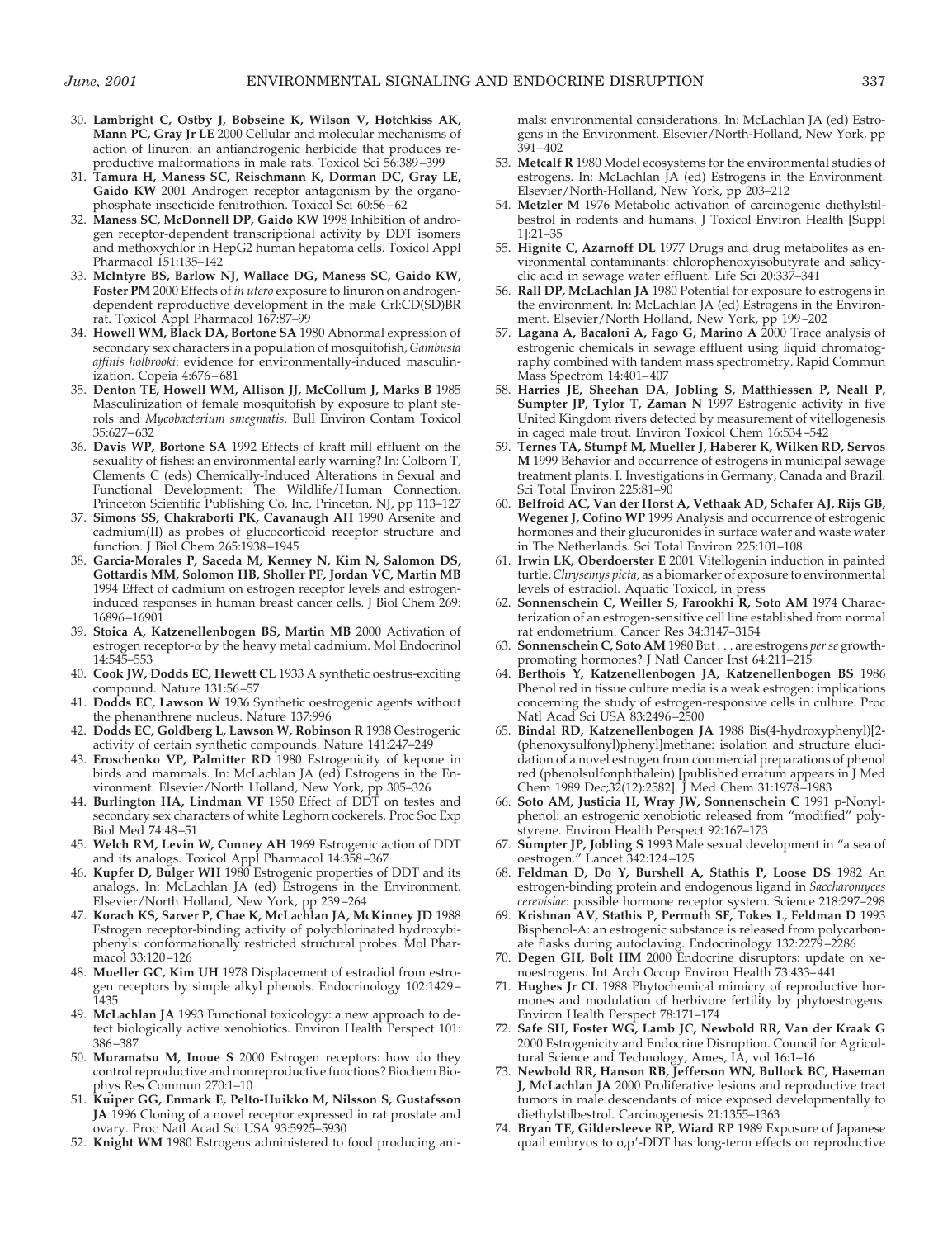- 30. **Lambright C, Ostby J, Bobseine K, Wilson V, Hotchkiss AK, Mann PC, Gray Jr LE** 2000 Cellular and molecular mechanisms of action of linuron: an antiandrogenic herbicide that produces reproductive malformations in male rats. Toxicol Sci 56:389–399
- 31. **Tamura H, Maness SC, Reischmann K, Dorman DC, Gray LE, Gaido KW** 2001 Androgen receptor antagonism by the organophosphate insecticide fenitrothion. Toxicol Sci 60:56–62
- 32. **Maness SC, McDonnell DP, Gaido KW** 1998 Inhibition of androgen receptor-dependent transcriptional activity by DDT isomers and methoxychlor in HepG2 human hepatoma cells. Toxicol Appl Pharmacol 151:135–142
- 33. **McIntyre BS, Barlow NJ, Wallace DG, Maness SC, Gaido KW, Foster PM** 2000 Effects of *in utero* exposure to linuron on androgendependent reproductive development in the male Crl:CD(SD)BR rat. Toxicol Appl Pharmacol 167:87–99
- 34. **Howell WM, Black DA, Bortone SA** 1980 Abnormal expression of secondary sex characters in a population of mosquitofish, *Gambusia affinis holbrooki*: evidence for environmentally-induced masculinization. Copeia 4:676–681
- 35. **Denton TE, Howell WM, Allison JJ, McCollum J, Marks B** 1985 Masculinization of female mosquitofish by exposure to plant sterols and *Mycobacterium smegmatis*. Bull Environ Contam Toxicol 35:627–632
- 36. **Davis WP, Bortone SA** 1992 Effects of kraft mill effluent on the sexuality of fishes: an environmental early warning? In: Colborn T, Clements C (eds) Chemically-Induced Alterations in Sexual and Functional Development: The Wildlife/Human Connection. Princeton Scientific Publishing Co, Inc, Princeton, NJ, pp 113–127
- 37. **Simons SS, Chakraborti PK, Cavanaugh AH** 1990 Arsenite and cadmium(II) as probes of glucocorticoid receptor structure and function. J Biol Chem 265:1938–1945
- 38. **Garcia-Morales P, Saceda M, Kenney N, Kim N, Salomon DS, Gottardis MM, Solomon HB, Sholler PF, Jordan VC, Martin MB** 1994 Effect of cadmium on estrogen receptor levels and estrogeninduced responses in human breast cancer cells. J Biol Chem 269: 16896–16901
- 39. **Stoica A, Katzenellenbogen BS, Martin MB** 2000 Activation of estrogen receptor- $\alpha$  by the heavy metal cadmium. Mol Endocrinol 14:545–553
- 40. **Cook JW, Dodds EC, Hewett CL** 1933 A synthetic oestrus-exciting compound. Nature 131:56–57
- 41. **Dodds EC, Lawson W** 1936 Synthetic oestrogenic agents without the phenanthrene nucleus. Nature 137:996
- 42. **Dodds EC, Goldberg L, Lawson W, Robinson R** 1938 Oestrogenic activity of certain synthetic compounds. Nature 141:247–249
- 43. **Eroschenko VP, Palmitter RD** 1980 Estrogenicity of kepone in birds and mammals. In: McLachlan JA (ed) Estrogens in the Environment. Elsevier/North Holland, New York, pp 305–326
- 44. **Burlington HA, Lindman VF** 1950 Effect of DDT on testes and secondary sex characters of white Leghorn cockerels. Proc Soc Exp Biol Med 74:48–51
- 45. **Welch RM, Levin W, Conney AH** 1969 Estrogenic action of DDT and its analogs. Toxicol Appl Pharmacol 14:358–367
- 46. **Kupfer D, Bulger WH** 1980 Estrogenic properties of DDT and its analogs. In: McLachlan JA (ed) Estrogens in the Environment. Elsevier/North Holland, New York, pp 239–264
- 47. **Korach KS, Sarver P, Chae K, McLachlan JA, McKinney JD** 1988 Estrogen receptor-binding activity of polychlorinated hydroxybiphenyls: conformationally restricted structural probes. Mol Pharmacol 33:120–126
- 48. **Mueller GC, Kim UH** 1978 Displacement of estradiol from estrogen receptors by simple alkyl phenols. Endocrinology 102:1429– 1435
- 49. **McLachlan JA** 1993 Functional toxicology: a new approach to detect biologically active xenobiotics. Environ Health Perspect 101: 386–387
- 50. **Muramatsu M, Inoue S** 2000 Estrogen receptors: how do they control reproductive and nonreproductive functions? Biochem Biophys Res Commun 270:1–10
- 51. **Kuiper GG, Enmark E, Pelto-Huikko M, Nilsson S, Gustafsson JA** 1996 Cloning of a novel receptor expressed in rat prostate and ovary. Proc Natl Acad Sci USA 93:5925–5930
- 52. **Knight WM** 1980 Estrogens administered to food producing ani-

mals: environmental considerations. In: McLachlan JA (ed) Estrogens in the Environment. Elsevier/North-Holland, New York, pp 391–402

- 53. **Metcalf R** 1980 Model ecosystems for the environmental studies of estrogens. In: McLachlan JA (ed) Estrogens in the Environment. Elsevier/North-Holland, New York, pp 203–212
- 54. **Metzler M** 1976 Metabolic activation of carcinogenic diethylstilbestrol in rodents and humans. J Toxicol Environ Health [Suppl 1]:21–35
- 55. **Hignite C, Azarnoff DL** 1977 Drugs and drug metabolites as environmental contaminants: chlorophenoxyisobutyrate and salicyclic acid in sewage water effluent. Life Sci 20:337–341
- 56. **Rall DP, McLachlan JA** 1980 Potential for exposure to estrogens in the environment. In: McLachlan JA (ed) Estrogens in the Environment. Elsevier/North Holland, New York, pp 199–202
- 57. **Lagana A, Bacaloni A, Fago G, Marino A** 2000 Trace analysis of estrogenic chemicals in sewage effluent using liquid chromatography combined with tandem mass spectrometry. Rapid Commun Mass Spectrom 14:401–407
- 58. **Harries JE, Sheehan DA, Jobling S, Matthiessen P, Neall P, Sumpter JP, Tylor T, Zaman N** 1997 Estrogenic activity in five United Kingdom rivers detected by measurement of vitellogenesis in caged male trout. Environ Toxicol Chem 16:534–542
- 59. **Ternes TA, Stumpf M, Mueller J, Haberer K, Wilken RD, Servos M** 1999 Behavior and occurrence of estrogens in municipal sewage treatment plants. I. Investigations in Germany, Canada and Brazil. Sci Total Environ 225:81–90
- 60. **Belfroid AC, Van der Horst A, Vethaak AD, Schafer AJ, Rijs GB, Wegener J, Cofino WP** 1999 Analysis and occurrence of estrogenic hormones and their glucuronides in surface water and waste water in The Netherlands. Sci Total Environ 225:101–108
- 61. **Irwin LK, Oberdoerster E** 2001 Vitellogenin induction in painted turtle, *Chrysemys picta*, as a biomarker of exposure to environmental levels of estradiol. Aquatic Toxicol, in press
- 62. **Sonnenschein C, Weiller S, Farookhi R, Soto AM** 1974 Characterization of an estrogen-sensitive cell line established from normal rat endometrium. Cancer Res 34:3147–3154
- 63. **Sonnenschein C, Soto AM** 1980 But . . . are estrogens *perse* growthpromoting hormones? J Natl Cancer Inst 64:211–215
- 64. **Berthois Y, Katzenellenbogen JA, Katzenellenbogen BS** 1986 Phenol red in tissue culture media is a weak estrogen: implications concerning the study of estrogen-responsive cells in culture. Proc Natl Acad Sci USA 83:2496–2500
- 65. **Bindal RD, Katzenellenbogen JA** 1988 Bis(4-hydroxyphenyl)[2- (phenoxysulfonyl)phenyl]methane: isolation and structure elucidation of a novel estrogen from commercial preparations of phenol red (phenolsulfonphthalein) [published erratum appears in J Med Chem 1989 Dec;32(12):2582]. J Med Chem 31:1978–1983
- 66. **Soto AM, Justicia H, Wray JW, Sonnenschein C** 1991 p-Nonylphenol: an estrogenic xenobiotic released from "modified" polystyrene. Environ Health Perspect 92:167–173
- 67. **Sumpter JP, Jobling S** 1993 Male sexual development in "a sea of oestrogen." Lancet 342:124–125
- 68. **Feldman D, Do Y, Burshell A, Stathis P, Loose DS** 1982 An estrogen-binding protein and endogenous ligand in *Saccharomyces cerevisiae*: possible hormone receptor system. Science 218:297–298
- 69. **Krishnan AV, Stathis P, Permuth SF, Tokes L, Feldman D** 1993 Bisphenol-A: an estrogenic substance is released from polycarbonate flasks during autoclaving. Endocrinology 132:2279–2286
- 70. **Degen GH, Bolt HM** 2000 Endocrine disruptors: update on xenoestrogens. Int Arch Occup Environ Health 73:433–441
- 71. **Hughes Jr CL** 1988 Phytochemical mimicry of reproductive hormones and modulation of herbivore fertility by phytoestrogens. Environ Health Perspect 78:171–174
- 72. **Safe SH, Foster WG, Lamb JC, Newbold RR, Van der Kraak G** 2000 Estrogenicity and Endocrine Disruption. Council for Agricultural Science and Technology, Ames, IA, vol 16:1–16
- 73. **Newbold RR, Hanson RB, Jefferson WN, Bullock BC, Haseman J, McLachlan JA** 2000 Proliferative lesions and reproductive tract tumors in male descendants of mice exposed developmentally to diethylstilbestrol. Carcinogenesis 21:1355–1363
- 74. **Bryan TE, Gildersleeve RP, Wiard RP** 1989 Exposure of Japanese quail embryos to 0,p'-DDT has long-term effects on reproductive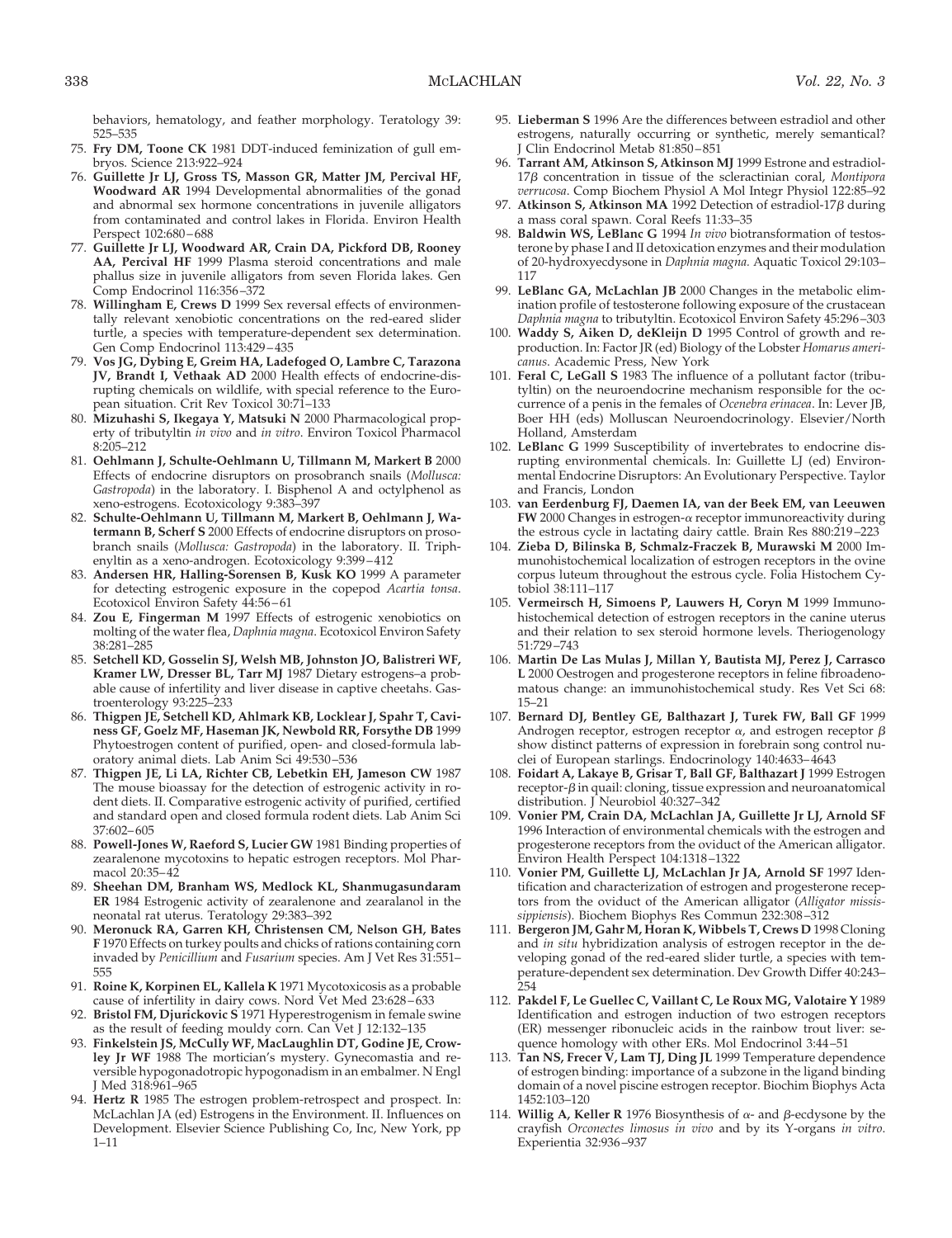behaviors, hematology, and feather morphology. Teratology 39: 525–535

- 75. **Fry DM, Toone CK** 1981 DDT-induced feminization of gull embryos. Science 213:922–924
- 76. **Guillette Jr LJ, Gross TS, Masson GR, Matter JM, Percival HF, Woodward AR** 1994 Developmental abnormalities of the gonad and abnormal sex hormone concentrations in juvenile alligators from contaminated and control lakes in Florida. Environ Health Perspect 102:680–688
- 77. **Guillette Jr LJ, Woodward AR, Crain DA, Pickford DB, Rooney AA, Percival HF** 1999 Plasma steroid concentrations and male phallus size in juvenile alligators from seven Florida lakes. Gen Comp Endocrinol 116:356–372
- 78. **Willingham E, Crews D** 1999 Sex reversal effects of environmentally relevant xenobiotic concentrations on the red-eared slider turtle, a species with temperature-dependent sex determination. Gen Comp Endocrinol 113:429–435
- 79. **Vos JG, Dybing E, Greim HA, Ladefoged O, Lambre C, Tarazona JV, Brandt I, Vethaak AD** 2000 Health effects of endocrine-disrupting chemicals on wildlife, with special reference to the European situation. Crit Rev Toxicol 30:71–133
- 80. **Mizuhashi S, Ikegaya Y, Matsuki N** 2000 Pharmacological property of tributyltin *in vivo* and *in vitro*. Environ Toxicol Pharmacol 8:205–212
- 81. **Oehlmann J, Schulte-Oehlmann U, Tillmann M, Markert B** 2000 Effects of endocrine disruptors on prosobranch snails (*Mollusca: Gastropoda*) in the laboratory. I. Bisphenol A and octylphenol as xeno-estrogens. Ecotoxicology 9:383–397
- 82. **Schulte-Oehlmann U, Tillmann M, Markert B, Oehlmann J, Watermann B, Scherf S** 2000 Effects of endocrine disruptors on prosobranch snails (*Mollusca: Gastropoda*) in the laboratory. II. Triphenyltin as a xeno-androgen. Ecotoxicology 9:399–412
- 83. **Andersen HR, Halling-Sorensen B, Kusk KO** 1999 A parameter for detecting estrogenic exposure in the copepod *Acartia tonsa*. Ecotoxicol Environ Safety 44:56–61
- 84. **Zou E, Fingerman M** 1997 Effects of estrogenic xenobiotics on molting of the water flea, *Daphnia magna*. Ecotoxicol Environ Safety 38:281–285
- 85. **Setchell KD, Gosselin SJ, Welsh MB, Johnston JO, Balistreri WF, Kramer LW, Dresser BL, Tarr MJ** 1987 Dietary estrogens–a probable cause of infertility and liver disease in captive cheetahs. Gastroenterology 93:225–233
- 86. **Thigpen JE, Setchell KD, Ahlmark KB, Locklear J, Spahr T, Caviness GF, Goelz MF, Haseman JK, Newbold RR, Forsythe DB** 1999 Phytoestrogen content of purified, open- and closed-formula laboratory animal diets. Lab Anim Sci 49:530–536
- 87. **Thigpen JE, Li LA, Richter CB, Lebetkin EH, Jameson CW** 1987 The mouse bioassay for the detection of estrogenic activity in rodent diets. II. Comparative estrogenic activity of purified, certified and standard open and closed formula rodent diets. Lab Anim Sci 37:602–605
- 88. **Powell-Jones W, Raeford S, Lucier GW** 1981 Binding properties of zearalenone mycotoxins to hepatic estrogen receptors. Mol Pharmacol 20:35–42
- 89. **Sheehan DM, Branham WS, Medlock KL, Shanmugasundaram ER** 1984 Estrogenic activity of zearalenone and zearalanol in the neonatal rat uterus. Teratology 29:383–392
- 90. **Meronuck RA, Garren KH, Christensen CM, Nelson GH, Bates F** 1970 Effects on turkey poults and chicks ofrations containing corn invaded by *Penicillium* and *Fusarium* species. Am J Vet Res 31:551– 555
- 91. **Roine K, Korpinen EL, Kallela K** 1971 Mycotoxicosis as a probable cause of infertility in dairy cows. Nord Vet Med 23:628–633
- 92. **Bristol FM, Djurickovic S** 1971 Hyperestrogenism in female swine as the result of feeding mouldy corn. Can Vet J 12:132–135
- 93. **Finkelstein JS, McCully WF, MacLaughlin DT, Godine JE, Crowley Jr WF** 1988 The mortician's mystery. Gynecomastia and reversible hypogonadotropic hypogonadism in an embalmer. N Engl J Med 318:961–965
- 94. **Hertz R** 1985 The estrogen problem-retrospect and prospect. In: McLachlan JA (ed) Estrogens in the Environment. II. Influences on Development. Elsevier Science Publishing Co, Inc, New York, pp 1–11
- 95. **Lieberman S** 1996 Are the differences between estradiol and other estrogens, naturally occurring or synthetic, merely semantical? J Clin Endocrinol Metab 81:850–851
- 96. **Tarrant AM, Atkinson S, Atkinson MJ** 1999 Estrone and estradiol-17β concentration in tissue of the scleractinian coral, *Montipora verrucosa*. Comp Biochem Physiol A Mol Integr Physiol 122:85–92
- 97. Atkinson S, Atkinson MA 1992 Detection of estradiol-17 $\beta$  during a mass coral spawn. Coral Reefs 11:33–35
- 98. **Baldwin WS, LeBlanc G** 1994 *In vivo* biotransformation of testosterone by phase I and II detoxication enzymes and their modulation of 20-hydroxyecdysone in *Daphnia magna.* Aquatic Toxicol 29:103– 117
- 99. **LeBlanc GA, McLachlan JB** 2000 Changes in the metabolic elimination profile of testosterone following exposure of the crustacean *Daphnia magna* to tributyltin. Ecotoxicol Environ Safety 45:296–303
- 100. **Waddy S, Aiken D, deKleijn D** 1995 Control of growth and reproduction. In: Factor JR (ed) Biology of the Lobster *Homarus americanus*. Academic Press, New York
- 101. **Feral C, LeGall S** 1983 The influence of a pollutant factor (tributyltin) on the neuroendocrine mechanism responsible for the occurrence of a penis in the females of *Ocenebra erinacea*. In: Lever JB, Boer HH (eds) Molluscan Neuroendocrinology. Elsevier/North Holland, Amsterdam
- 102. **LeBlanc G** 1999 Susceptibility of invertebrates to endocrine disrupting environmental chemicals. In: Guillette LJ (ed) Environmental Endocrine Disruptors: An Evolutionary Perspective. Taylor and Francis, London
- 103. **van Eerdenburg FJ, Daemen IA, van der Beek EM, van Leeuwen FW** 2000 Changes in estrogen- $\alpha$  receptor immunoreactivity during the estrous cycle in lactating dairy cattle. Brain Res 880:219–223
- 104. **Zieba D, Bilinska B, Schmalz-Fraczek B, Murawski M** 2000 Immunohistochemical localization of estrogen receptors in the ovine corpus luteum throughout the estrous cycle. Folia Histochem Cytobiol 38:111–117
- 105. **Vermeirsch H, Simoens P, Lauwers H, Coryn M** 1999 Immunohistochemical detection of estrogen receptors in the canine uterus and their relation to sex steroid hormone levels. Theriogenology 51:729–743
- 106. **Martin De Las Mulas J, Millan Y, Bautista MJ, Perez J, Carrasco L** 2000 Oestrogen and progesterone receptors in feline fibroadenomatous change: an immunohistochemical study. Res Vet Sci 68: 15–21
- 107. **Bernard DJ, Bentley GE, Balthazart J, Turek FW, Ball GF** 1999 Androgen receptor, estrogen receptor  $\alpha$ , and estrogen receptor  $\beta$ show distinct patterns of expression in forebrain song control nuclei of European starlings. Endocrinology 140:4633–4643
- 108. **Foidart A, Lakaye B, Grisar T, Ball GF, Balthazart J** 1999 Estrogen  $receptor-\beta$  in quail: cloning, tissue expression and neuroanatomical distribution. J Neurobiol 40:327–342
- 109. **Vonier PM, Crain DA, McLachlan JA, Guillette Jr LJ, Arnold SF** 1996 Interaction of environmental chemicals with the estrogen and progesterone receptors from the oviduct of the American alligator. Environ Health Perspect 104:1318–1322
- 110. **Vonier PM, Guillette LJ, McLachlan Jr JA, Arnold SF** 1997 Identification and characterization of estrogen and progesterone receptors from the oviduct of the American alligator (*Alligator mississippiensis*). Biochem Biophys Res Commun 232:308–312
- 111. **Bergeron JM, Gahr M, Horan K, Wibbels T, Crews D** 1998 Cloning and *in situ* hybridization analysis of estrogen receptor in the developing gonad of the red-eared slider turtle, a species with temperature-dependent sex determination. Dev Growth Differ 40:243– 254
- 112. **Pakdel F, Le Guellec C, Vaillant C, Le Roux MG, Valotaire Y** 1989 Identification and estrogen induction of two estrogen receptors (ER) messenger ribonucleic acids in the rainbow trout liver: sequence homology with other ERs. Mol Endocrinol 3:44–51
- 113. **Tan NS, Frecer V, Lam TJ, Ding JL** 1999 Temperature dependence of estrogen binding: importance of a subzone in the ligand binding domain of a novel piscine estrogen receptor. Biochim Biophys Acta 1452:103–120
- 114. **Willig A, Keller R** 1976 Biosynthesis of  $\alpha$  and  $\beta$ -ecdysone by the crayfish *Orconectes limosus in vivo* and by its Y-organs *in vitro*. Experientia 32:936–937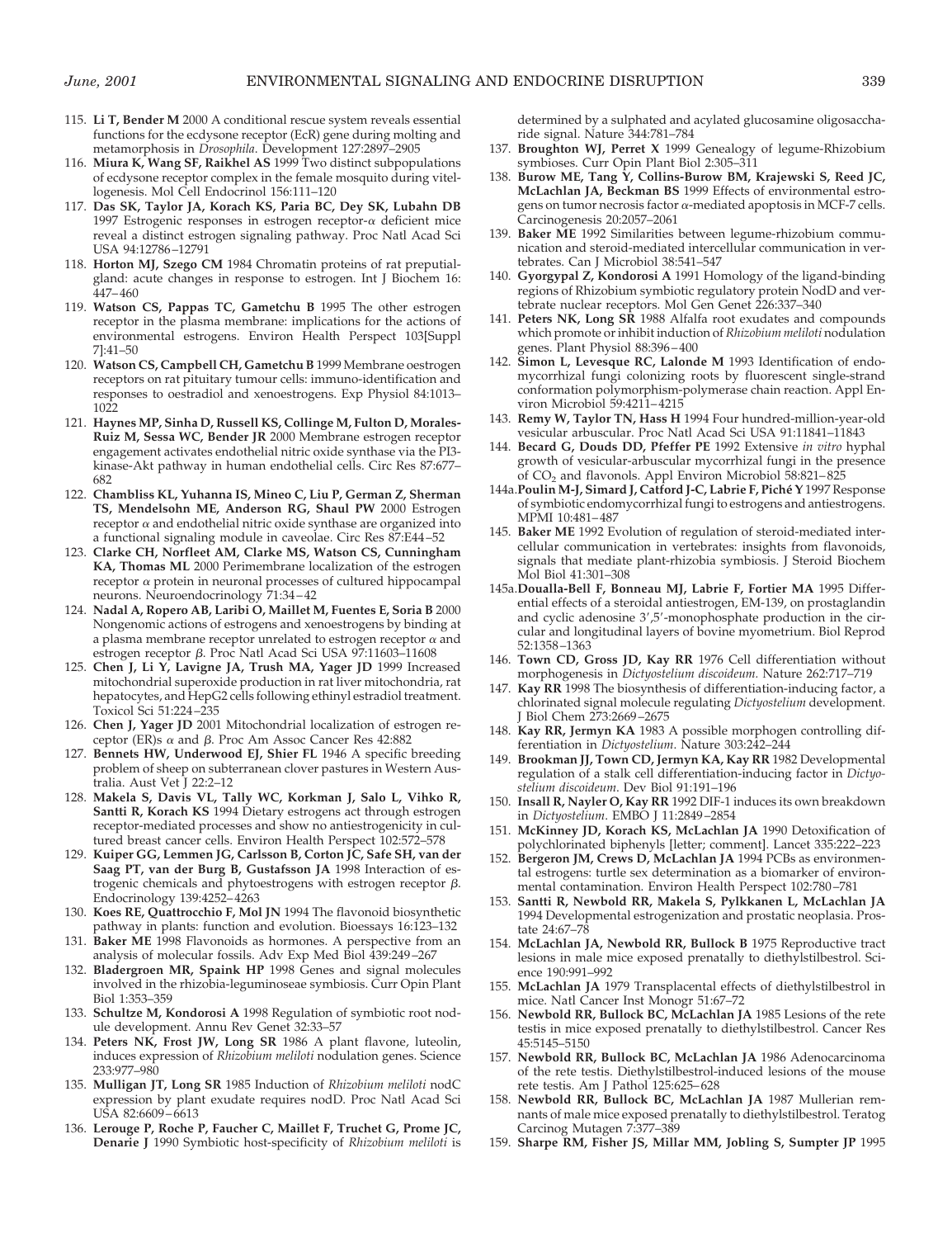- 115. **Li T, Bender M** 2000 A conditional rescue system reveals essential functions for the ecdysone receptor (EcR) gene during molting and metamorphosis in *Drosophila*. Development 127:2897–2905
- 116. **Miura K, Wang SF, Raikhel AS** 1999 Two distinct subpopulations of ecdysone receptor complex in the female mosquito during vitellogenesis. Mol Cell Endocrinol 156:111–120
- 117. **Das SK, Taylor JA, Korach KS, Paria BC, Dey SK, Lubahn DB** 1997 Estrogenic responses in estrogen receptor- $\alpha$  deficient mice reveal a distinct estrogen signaling pathway. Proc Natl Acad Sci USA 94:12786–12791
- 118. **Horton MJ, Szego CM** 1984 Chromatin proteins of rat preputialgland: acute changes in response to estrogen. Int J Biochem 16: 447–460
- 119. **Watson CS, Pappas TC, Gametchu B** 1995 The other estrogen receptor in the plasma membrane: implications for the actions of environmental estrogens. Environ Health Perspect 103[Suppl 7]:41–50
- 120. **Watson CS, Campbell CH, Gametchu B** 1999 Membrane oestrogen receptors on rat pituitary tumour cells: immuno-identification and responses to oestradiol and xenoestrogens. Exp Physiol 84:1013– 1022
- 121. **Haynes MP, Sinha D, Russell KS, Collinge M, Fulton D, Morales-Ruiz M, Sessa WC, Bender JR** 2000 Membrane estrogen receptor engagement activates endothelial nitric oxide synthase via the PI3 kinase-Akt pathway in human endothelial cells. Circ Res 87:677– 682
- 122. **Chambliss KL, Yuhanna IS, Mineo C, Liu P, German Z, Sherman TS, Mendelsohn ME, Anderson RG, Shaul PW** 2000 Estrogen receptor  $\alpha$  and endothelial nitric oxide synthase are organized into a functional signaling module in caveolae. Circ Res 87:E44–52
- 123. **Clarke CH, Norfleet AM, Clarke MS, Watson CS, Cunningham KA, Thomas ML** 2000 Perimembrane localization of the estrogen receptor  $\alpha$  protein in neuronal processes of cultured hippocampal neurons. Neuroendocrinology 71:34–42
- 124. **Nadal A, Ropero AB, Laribi O, Maillet M, Fuentes E, Soria B** 2000 Nongenomic actions of estrogens and xenoestrogens by binding at a plasma membrane receptor unrelated to estrogen receptor  $\alpha$  and estrogen receptor β. Proc Natl Acad Sci USA 97:11603-11608
- 125. **Chen J, Li Y, Lavigne JA, Trush MA, Yager JD** 1999 Increased mitochondrial superoxide production in rat liver mitochondria, rat hepatocytes, and HepG2 cells following ethinyl estradiol treatment. Toxicol Sci 51:224–235
- 126. **Chen J, Yager JD** 2001 Mitochondrial localization of estrogen receptor (ER)s  $\alpha$  and  $\beta$ . Proc Am Assoc Cancer Res 42:882
- 127. **Bennets HW, Underwood EJ, Shier FL** 1946 A specific breeding problem of sheep on subterranean clover pastures in Western Australia. Aust Vet J 22:2–12
- 128. **Makela S, Davis VL, Tally WC, Korkman J, Salo L, Vihko R, Santti R, Korach KS** 1994 Dietary estrogens act through estrogen receptor-mediated processes and show no antiestrogenicity in cultured breast cancer cells. Environ Health Perspect 102:572–578
- 129. **Kuiper GG, Lemmen JG, Carlsson B, Corton JC, Safe SH, van der Saag PT, van der Burg B, Gustafsson JA** 1998 Interaction of estrogenic chemicals and phytoestrogens with estrogen receptor  $\beta$ . Endocrinology 139:4252–4263
- 130. **Koes RE, Quattrocchio F, Mol JN** 1994 The flavonoid biosynthetic pathway in plants: function and evolution. Bioessays 16:123–132
- 131. **Baker ME** 1998 Flavonoids as hormones. A perspective from an analysis of molecular fossils. Adv Exp Med Biol 439:249–267
- 132. **Bladergroen MR, Spaink HP** 1998 Genes and signal molecules involved in the rhizobia-leguminoseae symbiosis. Curr Opin Plant Biol 1:353–359
- 133. **Schultze M, Kondorosi A** 1998 Regulation of symbiotic root nodule development. Annu Rev Genet 32:33–57
- 134. **Peters NK, Frost JW, Long SR** 1986 A plant flavone, luteolin, induces expression of *Rhizobium meliloti* nodulation genes. Science 233:977–980
- 135. **Mulligan JT, Long SR** 1985 Induction of *Rhizobium meliloti* nodC expression by plant exudate requires nodD. Proc Natl Acad Sci USA 82:6609–6613
- 136. **Lerouge P, Roche P, Faucher C, Maillet F, Truchet G, Prome JC, Denarie J** 1990 Symbiotic host-specificity of *Rhizobium meliloti* is

determined by a sulphated and acylated glucosamine oligosaccharide signal. Nature 344:781–784

- 137. **Broughton WJ, Perret X** 1999 Genealogy of legume-Rhizobium symbioses. Curr Opin Plant Biol 2:305–311
- 138. **Burow ME, Tang Y, Collins-Burow BM, Krajewski S, Reed JC, McLachlan JA, Beckman BS** 1999 Effects of environmental estrogens on tumor necrosis factor  $\alpha$ -mediated apoptosis in MCF-7 cells. Carcinogenesis 20:2057–2061
- 139. **Baker ME** 1992 Similarities between legume-rhizobium communication and steroid-mediated intercellular communication in vertebrates. Can J Microbiol 38:541–547
- 140. **Gyorgypal Z, Kondorosi A** 1991 Homology of the ligand-binding regions of Rhizobium symbiotic regulatory protein NodD and vertebrate nuclear receptors. Mol Gen Genet 226:337–340
- 141. **Peters NK, Long SR** 1988 Alfalfa root exudates and compounds which promote orinhibit induction of *Rhizobium meliloti* nodulation genes. Plant Physiol 88:396–400
- 142. **Simon L, Levesque RC, Lalonde M** 1993 Identification of endomycorrhizal fungi colonizing roots by fluorescent single-strand conformation polymorphism-polymerase chain reaction. Appl Environ Microbiol 59:4211–4215
- 143. **Remy W, Taylor TN, Hass H** 1994 Four hundred-million-year-old vesicular arbuscular. Proc Natl Acad Sci USA 91:11841–11843
- 144. **Becard G, Douds DD, Pfeffer PE** 1992 Extensive *in vitro* hyphal growth of vesicular-arbuscular mycorrhizal fungi in the presence of CO<sub>2</sub> and flavonols. Appl Environ Microbiol 58:821-825
- 144a.**Poulin M-J, Simard J, Catford J-C, Labrie F, Piche´ Y** 1997 Response of symbiotic endomycorrhizal fungi to estrogens and antiestrogens. MPMI 10:481–487
- 145. **Baker ME** 1992 Evolution of regulation of steroid-mediated intercellular communication in vertebrates: insights from flavonoids, signals that mediate plant-rhizobia symbiosis. J Steroid Biochem Mol Biol 41:301–308
- 145a.**Doualla-Bell F, Bonneau MJ, Labrie F, Fortier MA** 1995 Differential effects of a steroidal antiestrogen, EM-139, on prostaglandin and cyclic adenosine  $3'$ ,  $5'$ -monophosphate production in the circular and longitudinal layers of bovine myometrium. Biol Reprod 52:1358–1363
- 146. **Town CD, Gross JD, Kay RR** 1976 Cell differentiation without morphogenesis in *Dictyostelium discoideum.* Nature 262:717–719
- 147. **Kay RR** 1998 The biosynthesis of differentiation-inducing factor, a chlorinated signal molecule regulating *Dictyostelium* development. J Biol Chem 273:2669–2675
- 148. **Kay RR, Jermyn KA** 1983 A possible morphogen controlling differentiation in *Dictyostelium*. Nature 303:242–244
- 149. **Brookman JJ, Town CD, Jermyn KA, Kay RR** 1982 Developmental regulation of a stalk cell differentiation-inducing factor in *Dictyostelium discoideum*. Dev Biol 91:191–196
- 150. **Insall R, Nayler O, Kay RR** 1992 DIF-1 induces its own breakdown in *Dictyostelium*. EMBO J 11:2849–2854
- 151. **McKinney JD, Korach KS, McLachlan JA** 1990 Detoxification of polychlorinated biphenyls [letter; comment]. Lancet 335:222–223
- 152. **Bergeron JM, Crews D, McLachlan JA** 1994 PCBs as environmental estrogens: turtle sex determination as a biomarker of environmental contamination. Environ Health Perspect 102:780–781
- 153. **Santti R, Newbold RR, Makela S, Pylkkanen L, McLachlan JA** 1994 Developmental estrogenization and prostatic neoplasia. Prostate 24:67–78
- 154. **McLachlan JA, Newbold RR, Bullock B** 1975 Reproductive tract lesions in male mice exposed prenatally to diethylstilbestrol. Science 190:991–992
- 155. **McLachlan JA** 1979 Transplacental effects of diethylstilbestrol in mice. Natl Cancer Inst Monogr 51:67–72
- 156. **Newbold RR, Bullock BC, McLachlan JA** 1985 Lesions of the rete testis in mice exposed prenatally to diethylstilbestrol. Cancer Res 45:5145–5150
- 157. **Newbold RR, Bullock BC, McLachlan JA** 1986 Adenocarcinoma of the rete testis. Diethylstilbestrol-induced lesions of the mouse rete testis. Am J Pathol 125:625–628
- 158. **Newbold RR, Bullock BC, McLachlan JA** 1987 Mullerian remnants of male mice exposed prenatally to diethylstilbestrol. Teratog Carcinog Mutagen 7:377–389
- 159. **Sharpe RM, Fisher JS, Millar MM, Jobling S, Sumpter JP** 1995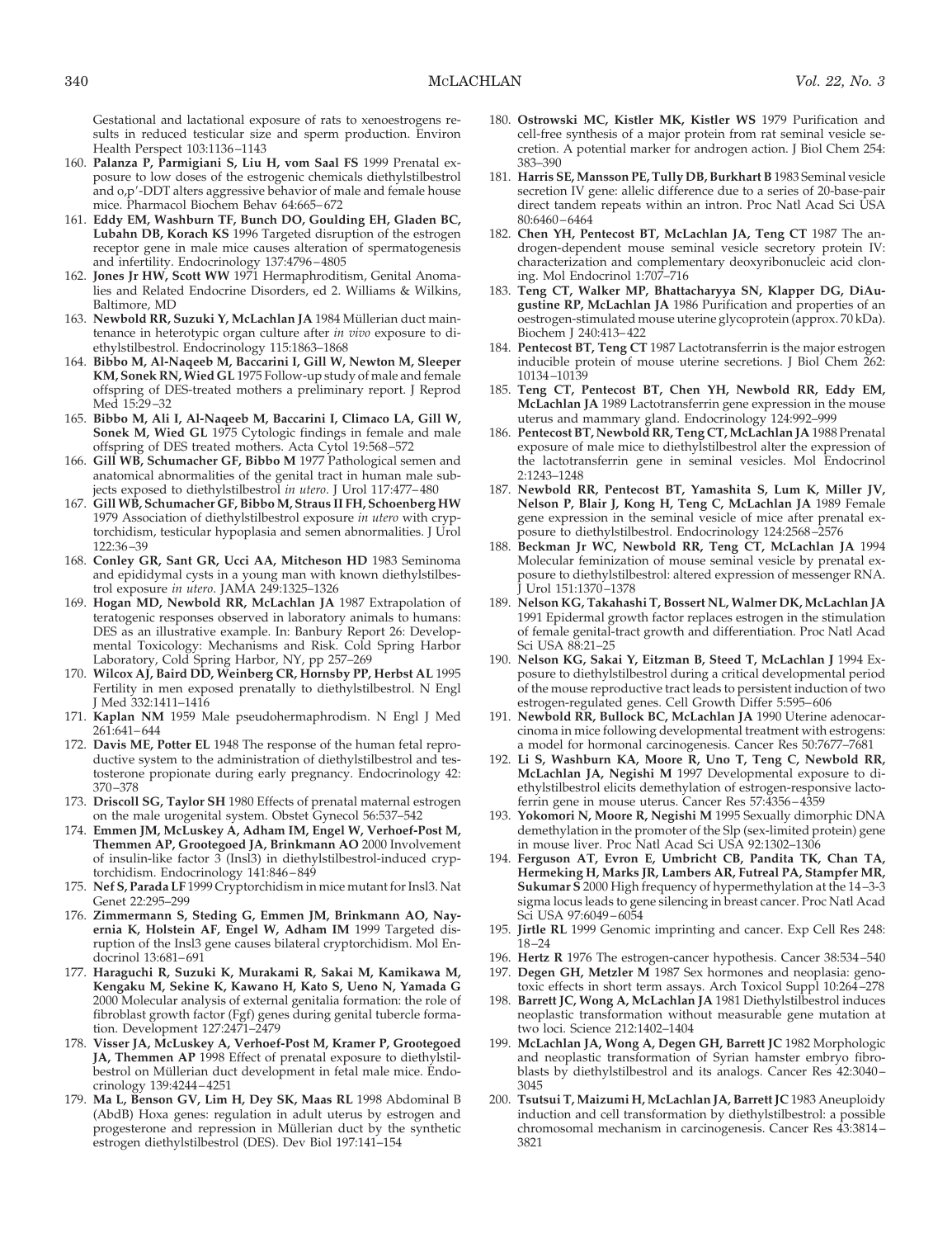Gestational and lactational exposure of rats to xenoestrogens results in reduced testicular size and sperm production. Environ Health Perspect 103:1136–1143

- 160. **Palanza P, Parmigiani S, Liu H, vom Saal FS** 1999 Prenatal exposure to low doses of the estrogenic chemicals diethylstilbestrol and  $o$ ,p'-DDT alters aggressive behavior of male and female house mice. Pharmacol Biochem Behav 64:665–672
- 161. **Eddy EM, Washburn TF, Bunch DO, Goulding EH, Gladen BC, Lubahn DB, Korach KS** 1996 Targeted disruption of the estrogen receptor gene in male mice causes alteration of spermatogenesis and infertility. Endocrinology 137:4796–4805
- 162. **Jones Jr HW, Scott WW** 1971 Hermaphroditism, Genital Anomalies and Related Endocrine Disorders, ed 2. Williams & Wilkins, Baltimore, MD
- 163. Newbold RR, Suzuki Y, McLachlan JA 1984 Müllerian duct maintenance in heterotypic organ culture after *in vivo* exposure to diethylstilbestrol. Endocrinology 115:1863–1868
- 164. **Bibbo M, Al-Naqeeb M, Baccarini I, Gill W, Newton M, Sleeper KM, Sonek RN, Wied GL** 1975 Follow-up study of male and female offspring of DES-treated mothers a preliminary report. J Reprod Med 15:29–32
- 165. **Bibbo M, Ali I, Al-Naqeeb M, Baccarini I, Climaco LA, Gill W, Sonek M, Wied GL** 1975 Cytologic findings in female and male offspring of DES treated mothers. Acta Cytol 19:568–572
- 166. **Gill WB, Schumacher GF, Bibbo M** 1977 Pathological semen and anatomical abnormalities of the genital tract in human male subjects exposed to diethylstilbestrol *in utero*. J Urol 117:477–480
- 167. **Gill WB, Schumacher GF, Bibbo M, Straus II FH, Schoenberg HW** 1979 Association of diethylstilbestrol exposure *in utero* with cryptorchidism, testicular hypoplasia and semen abnormalities. J Urol 122:36–39
- 168. **Conley GR, Sant GR, Ucci AA, Mitcheson HD** 1983 Seminoma and epididymal cysts in a young man with known diethylstilbestrol exposure *in utero*. JAMA 249:1325–1326
- 169. **Hogan MD, Newbold RR, McLachlan JA** 1987 Extrapolation of teratogenic responses observed in laboratory animals to humans: DES as an illustrative example. In: Banbury Report 26: Developmental Toxicology: Mechanisms and Risk. Cold Spring Harbor Laboratory, Cold Spring Harbor, NY, pp 257–269
- 170. **Wilcox AJ, Baird DD, Weinberg CR, Hornsby PP, Herbst AL** 1995 Fertility in men exposed prenatally to diethylstilbestrol. N Engl J Med 332:1411–1416
- 171. **Kaplan NM** 1959 Male pseudohermaphrodism. N Engl J Med 261:641–644
- 172. **Davis ME, Potter EL** 1948 The response of the human fetal reproductive system to the administration of diethylstilbestrol and testosterone propionate during early pregnancy. Endocrinology 42: 370–378
- 173. **Driscoll SG, Taylor SH** 1980 Effects of prenatal maternal estrogen on the male urogenital system. Obstet Gynecol 56:537–542
- 174. **Emmen JM, McLuskey A, Adham IM, Engel W, Verhoef-Post M, Themmen AP, Grootegoed JA, Brinkmann AO** 2000 Involvement of insulin-like factor 3 (Insl3) in diethylstilbestrol-induced cryptorchidism. Endocrinology 141:846–849
- 175. Nef S, Parada LF 1999 Cryptorchidism in mice mutant for Insl3. Nat Genet 22:295–299
- 176. **Zimmermann S, Steding G, Emmen JM, Brinkmann AO, Nayernia K, Holstein AF, Engel W, Adham IM** 1999 Targeted disruption of the Insl3 gene causes bilateral cryptorchidism. Mol Endocrinol 13:681–691
- 177. **Haraguchi R, Suzuki K, Murakami R, Sakai M, Kamikawa M, Kengaku M, Sekine K, Kawano H, Kato S, Ueno N, Yamada G** 2000 Molecular analysis of external genitalia formation: the role of fibroblast growth factor (Fgf) genes during genital tubercle formation. Development 127:2471–2479
- 178. **Visser JA, McLuskey A, Verhoef-Post M, Kramer P, Grootegoed JA, Themmen AP** 1998 Effect of prenatal exposure to diethylstilbestrol on Müllerian duct development in fetal male mice. Endocrinology 139:4244–4251
- 179. **Ma L, Benson GV, Lim H, Dey SK, Maas RL** 1998 Abdominal B (AbdB) Hoxa genes: regulation in adult uterus by estrogen and progesterone and repression in Müllerian duct by the synthetic estrogen diethylstilbestrol (DES). Dev Biol 197:141–154
- 180. **Ostrowski MC, Kistler MK, Kistler WS** 1979 Purification and cell-free synthesis of a major protein from rat seminal vesicle secretion. A potential marker for androgen action. J Biol Chem 254: 383–390
- 181. **Harris SE, Mansson PE, Tully DB, Burkhart B** 1983 Seminal vesicle secretion IV gene: allelic difference due to a series of 20-base-pair direct tandem repeats within an intron. Proc Natl Acad Sci USA 80:6460–6464
- 182. **Chen YH, Pentecost BT, McLachlan JA, Teng CT** 1987 The androgen-dependent mouse seminal vesicle secretory protein IV: characterization and complementary deoxyribonucleic acid cloning. Mol Endocrinol 1:707–716
- 183. **Teng CT, Walker MP, Bhattacharyya SN, Klapper DG, DiAugustine RP, McLachlan JA** 1986 Purification and properties of an oestrogen-stimulated mouse uterine glycoprotein (approx. 70 kDa). Biochem J 240:413–422
- 184. **Pentecost BT, Teng CT** 1987 Lactotransferrin is the major estrogen inducible protein of mouse uterine secretions. J Biol Chem 262: 10134–10139
- 185. **Teng CT, Pentecost BT, Chen YH, Newbold RR, Eddy EM, McLachlan JA** 1989 Lactotransferrin gene expression in the mouse uterus and mammary gland. Endocrinology 124:992–999
- 186. **PentecostBT, Newbold RR,Teng CT,McLachlan JA** 1988 Prenatal exposure of male mice to diethylstilbestrol alter the expression of the lactotransferrin gene in seminal vesicles. Mol Endocrinol 2:1243–1248
- 187. **Newbold RR, Pentecost BT, Yamashita S, Lum K, Miller JV, Nelson P, Blair J, Kong H, Teng C, McLachlan JA** 1989 Female gene expression in the seminal vesicle of mice after prenatal exposure to diethylstilbestrol. Endocrinology 124:2568–2576
- 188. **Beckman Jr WC, Newbold RR, Teng CT, McLachlan JA** 1994 Molecular feminization of mouse seminal vesicle by prenatal exposure to diethylstilbestrol: altered expression of messenger RNA. J Urol 151:1370–1378
- 189. **Nelson KG, Takahashi T, Bossert NL, Walmer DK, McLachlan JA** 1991 Epidermal growth factor replaces estrogen in the stimulation of female genital-tract growth and differentiation. Proc Natl Acad Sci USA 88:21–25
- 190. **Nelson KG, Sakai Y, Eitzman B, Steed T, McLachlan J** 1994 Exposure to diethylstilbestrol during a critical developmental period of the mouse reproductive tract leads to persistent induction of two estrogen-regulated genes. Cell Growth Differ 5:595–606
- 191. **Newbold RR, Bullock BC, McLachlan JA** 1990 Uterine adenocarcinoma in mice following developmental treatment with estrogens: a model for hormonal carcinogenesis. Cancer Res 50:7677–7681
- 192. **Li S, Washburn KA, Moore R, Uno T, Teng C, Newbold RR, McLachlan JA, Negishi M** 1997 Developmental exposure to diethylstilbestrol elicits demethylation of estrogen-responsive lactoferrin gene in mouse uterus. Cancer Res 57:4356–4359
- 193. **Yokomori N, Moore R, Negishi M** 1995 Sexually dimorphic DNA demethylation in the promoter of the Slp (sex-limited protein) gene in mouse liver. Proc Natl Acad Sci USA 92:1302–1306
- 194. **Ferguson AT, Evron E, Umbricht CB, Pandita TK, Chan TA, Hermeking H, Marks JR, Lambers AR, Futreal PA, Stampfer MR, Sukumar S** 2000 High frequency of hypermethylation at the 14–3-3 sigma locus leads to gene silencing in breast cancer. Proc Natl Acad Sci USA 97:6049–6054
- 195. **Jirtle RL** 1999 Genomic imprinting and cancer. Exp Cell Res 248: 18–24
- 196. **Hertz R** 1976 The estrogen-cancer hypothesis. Cancer 38:534–540 197. **Degen GH, Metzler M** 1987 Sex hormones and neoplasia: geno-
- toxic effects in short term assays. Arch Toxicol Suppl 10:264–278
- 198. **Barrett JC, Wong A, McLachlan JA** 1981 Diethylstilbestrol induces neoplastic transformation without measurable gene mutation at two loci. Science 212:1402–1404
- 199. **McLachlan JA, Wong A, Degen GH, Barrett JC** 1982 Morphologic and neoplastic transformation of Syrian hamster embryo fibroblasts by diethylstilbestrol and its analogs. Cancer Res 42:3040– 3045
- 200. **Tsutsui T, Maizumi H, McLachlan JA, BarrettJC** 1983 Aneuploidy induction and cell transformation by diethylstilbestrol: a possible chromosomal mechanism in carcinogenesis. Cancer Res 43:3814– 3821